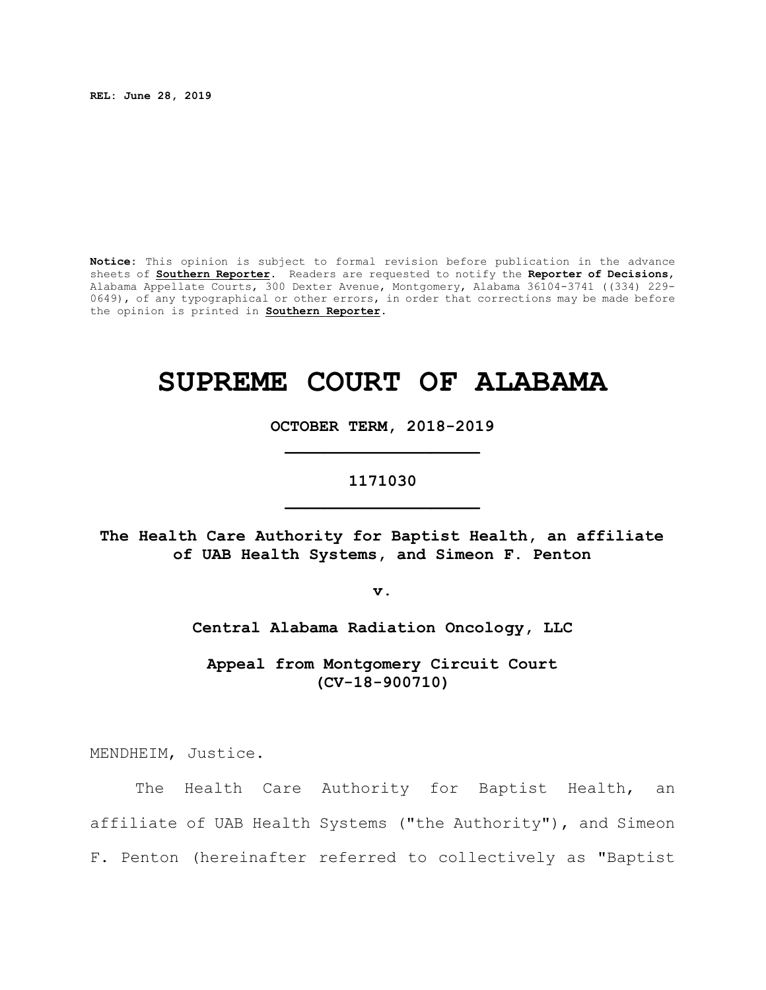**REL: June 28, 2019**

**Notice:** This opinion is subject to formal revision before publication in the advance sheets of **Southern Reporter**. Readers are requested to notify the **Reporter of Decisions**, Alabama Appellate Courts, 300 Dexter Avenue, Montgomery, Alabama 36104-3741 ((334) 229- 0649), of any typographical or other errors, in order that corrections may be made before the opinion is printed in **Southern Reporter**.

# **SUPREME COURT OF ALABAMA**

**OCTOBER TERM, 2018-2019 \_\_\_\_\_\_\_\_\_\_\_\_\_\_\_\_\_\_\_\_**

# **1171030 \_\_\_\_\_\_\_\_\_\_\_\_\_\_\_\_\_\_\_\_**

**The Health Care Authority for Baptist Health, an affiliate of UAB Health Systems, and Simeon F. Penton**

**v.**

**Central Alabama Radiation Oncology, LLC**

**Appeal from Montgomery Circuit Court (CV-18-900710)**

MENDHEIM, Justice.

The Health Care Authority for Baptist Health, an affiliate of UAB Health Systems ("the Authority"), and Simeon F. Penton (hereinafter referred to collectively as "Baptist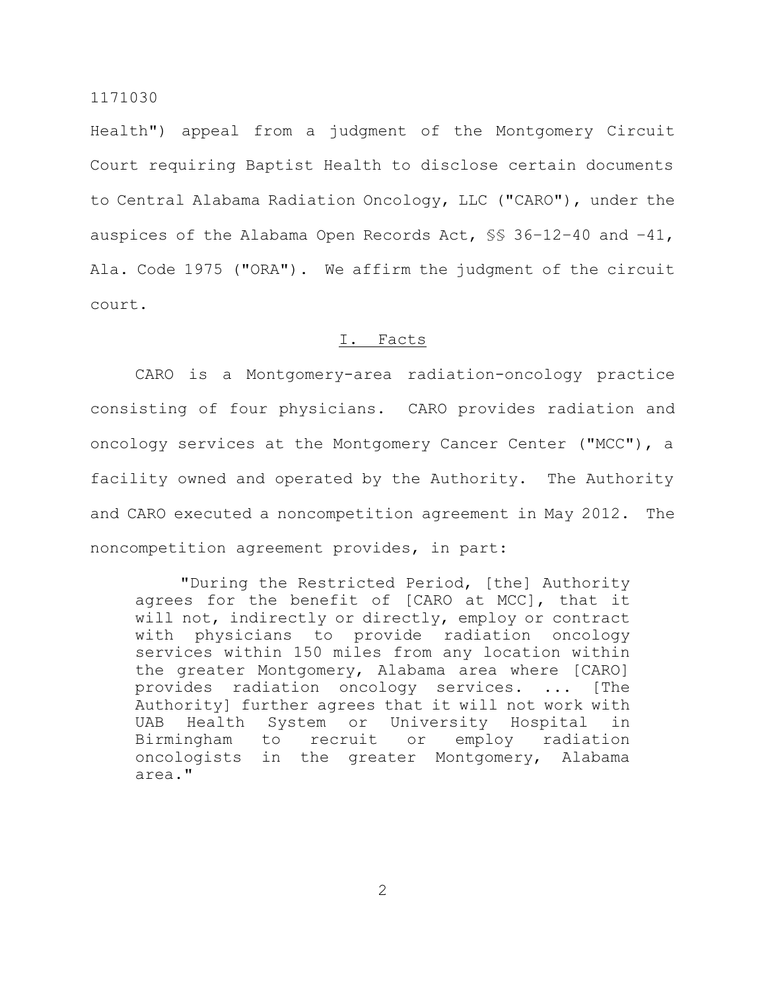Health") appeal from a judgment of the Montgomery Circuit Court requiring Baptist Health to disclose certain documents to Central Alabama Radiation Oncology, LLC ("CARO"), under the auspices of the Alabama Open Records Act, §§ 36–12–40 and –41, Ala. Code 1975 ("ORA"). We affirm the judgment of the circuit court.

#### I. Facts

CARO is a Montgomery-area radiation-oncology practice consisting of four physicians. CARO provides radiation and oncology services at the Montgomery Cancer Center ("MCC"), a facility owned and operated by the Authority. The Authority and CARO executed a noncompetition agreement in May 2012. The noncompetition agreement provides, in part:

"During the Restricted Period, [the] Authority agrees for the benefit of [CARO at MCC], that it will not, indirectly or directly, employ or contract with physicians to provide radiation oncology services within 150 miles from any location within the greater Montgomery, Alabama area where [CARO] provides radiation oncology services. ... [The Authority] further agrees that it will not work with UAB Health System or University Hospital in Birmingham to recruit or employ radiation oncologists in the greater Montgomery, Alabama area."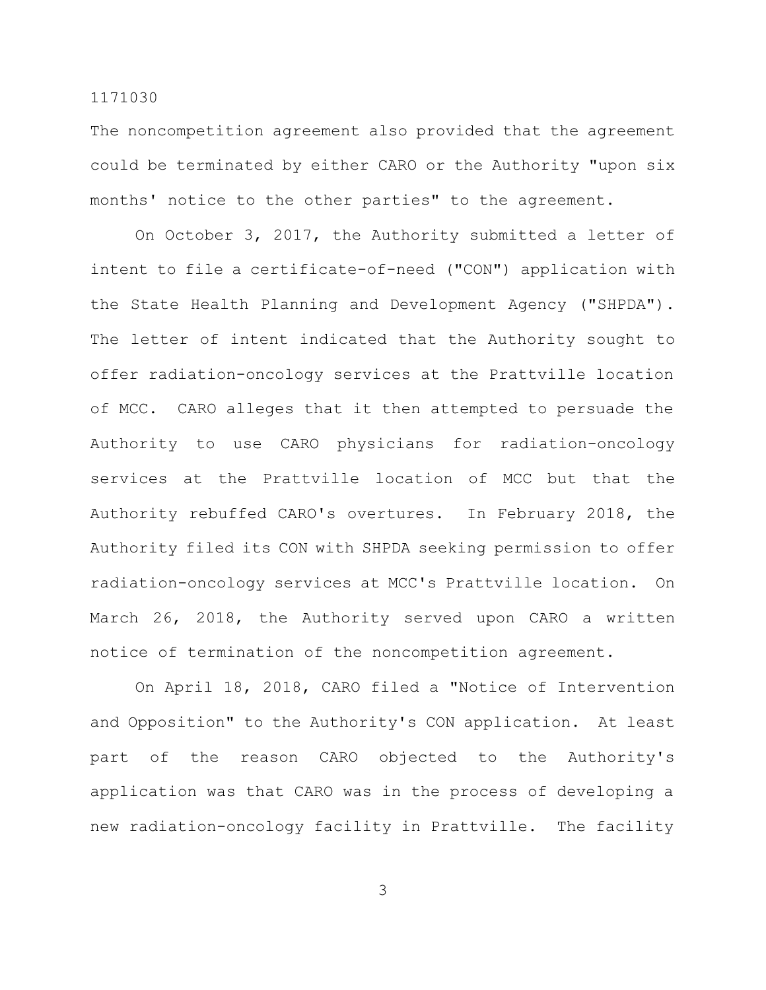The noncompetition agreement also provided that the agreement could be terminated by either CARO or the Authority "upon six months' notice to the other parties" to the agreement.

On October 3, 2017, the Authority submitted a letter of intent to file a certificate-of-need ("CON") application with the State Health Planning and Development Agency ("SHPDA"). The letter of intent indicated that the Authority sought to offer radiation-oncology services at the Prattville location of MCC. CARO alleges that it then attempted to persuade the Authority to use CARO physicians for radiation-oncology services at the Prattville location of MCC but that the Authority rebuffed CARO's overtures. In February 2018, the Authority filed its CON with SHPDA seeking permission to offer radiation-oncology services at MCC's Prattville location. On March 26, 2018, the Authority served upon CARO a written notice of termination of the noncompetition agreement.

On April 18, 2018, CARO filed a "Notice of Intervention and Opposition" to the Authority's CON application. At least part of the reason CARO objected to the Authority's application was that CARO was in the process of developing a new radiation-oncology facility in Prattville. The facility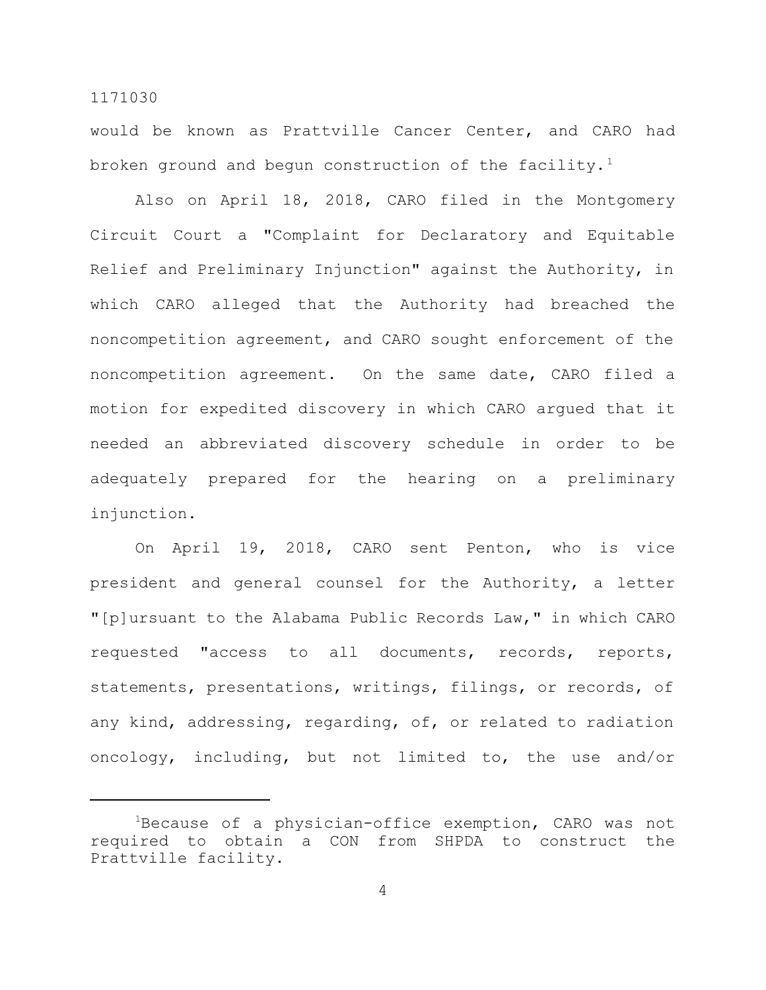would be known as Prattville Cancer Center, and CARO had broken ground and begun construction of the facility.<sup>1</sup>

Also on April 18, 2018, CARO filed in the Montgomery Circuit Court a "Complaint for Declaratory and Equitable Relief and Preliminary Injunction" against the Authority, in which CARO alleged that the Authority had breached the noncompetition agreement, and CARO sought enforcement of the noncompetition agreement. On the same date, CARO filed a motion for expedited discovery in which CARO argued that it needed an abbreviated discovery schedule in order to be adequately prepared for the hearing on a preliminary injunction.

On April 19, 2018, CARO sent Penton, who is vice president and general counsel for the Authority, a letter "[p]ursuant to the Alabama Public Records Law," in which CARO requested "access to all documents, records, reports, statements, presentations, writings, filings, or records, of any kind, addressing, regarding, of, or related to radiation oncology, including, but not limited to, the use and/or

<sup>&</sup>lt;sup>1</sup>Because of a physician-office exemption, CARO was not required to obtain a CON from SHPDA to construct the Prattville facility.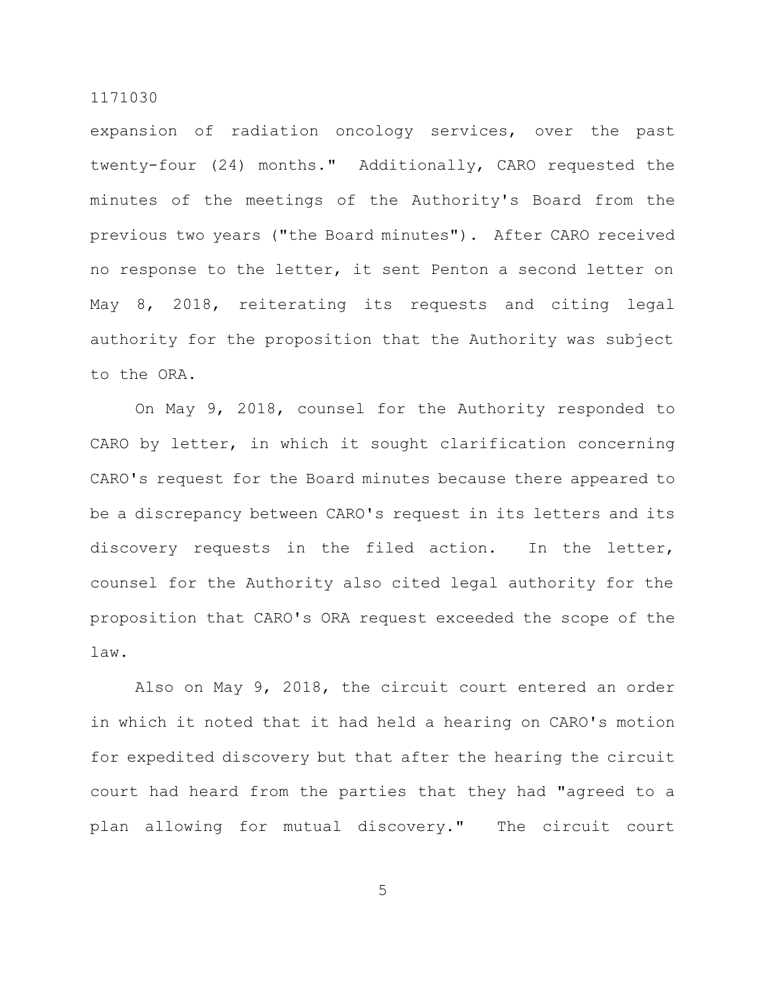expansion of radiation oncology services, over the past twenty-four (24) months." Additionally, CARO requested the minutes of the meetings of the Authority's Board from the previous two years ("the Board minutes"). After CARO received no response to the letter, it sent Penton a second letter on May 8, 2018, reiterating its requests and citing legal authority for the proposition that the Authority was subject to the ORA.

On May 9, 2018, counsel for the Authority responded to CARO by letter, in which it sought clarification concerning CARO's request for the Board minutes because there appeared to be a discrepancy between CARO's request in its letters and its discovery requests in the filed action. In the letter, counsel for the Authority also cited legal authority for the proposition that CARO's ORA request exceeded the scope of the law.

Also on May 9, 2018, the circuit court entered an order in which it noted that it had held a hearing on CARO's motion for expedited discovery but that after the hearing the circuit court had heard from the parties that they had "agreed to a plan allowing for mutual discovery." The circuit court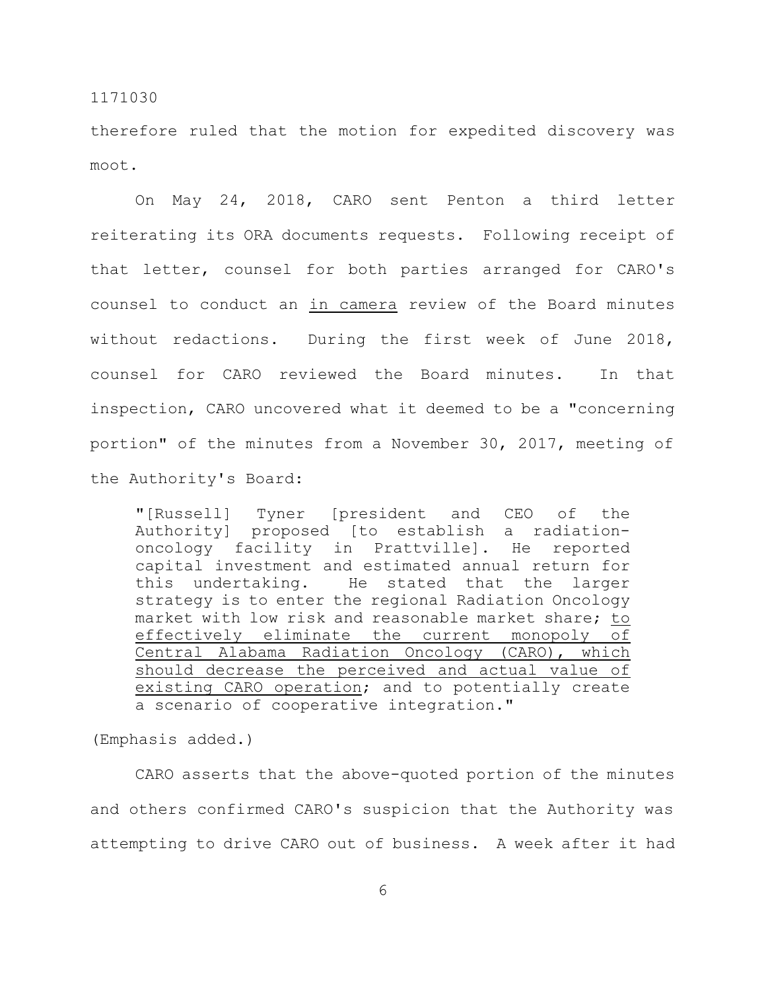therefore ruled that the motion for expedited discovery was moot.

On May 24, 2018, CARO sent Penton a third letter reiterating its ORA documents requests. Following receipt of that letter, counsel for both parties arranged for CARO's counsel to conduct an in camera review of the Board minutes without redactions. During the first week of June 2018, counsel for CARO reviewed the Board minutes. In that inspection, CARO uncovered what it deemed to be a "concerning portion" of the minutes from a November 30, 2017, meeting of the Authority's Board:

"[Russell] Tyner [president and CEO of the Authority] proposed [to establish a radiationoncology facility in Prattville]. He reported capital investment and estimated annual return for this undertaking. He stated that the larger strategy is to enter the regional Radiation Oncology market with low risk and reasonable market share; to effectively eliminate the current monopoly of Central Alabama Radiation Oncology (CARO), which should decrease the perceived and actual value of existing CARO operation; and to potentially create a scenario of cooperative integration."

(Emphasis added.)

CARO asserts that the above-quoted portion of the minutes and others confirmed CARO's suspicion that the Authority was attempting to drive CARO out of business. A week after it had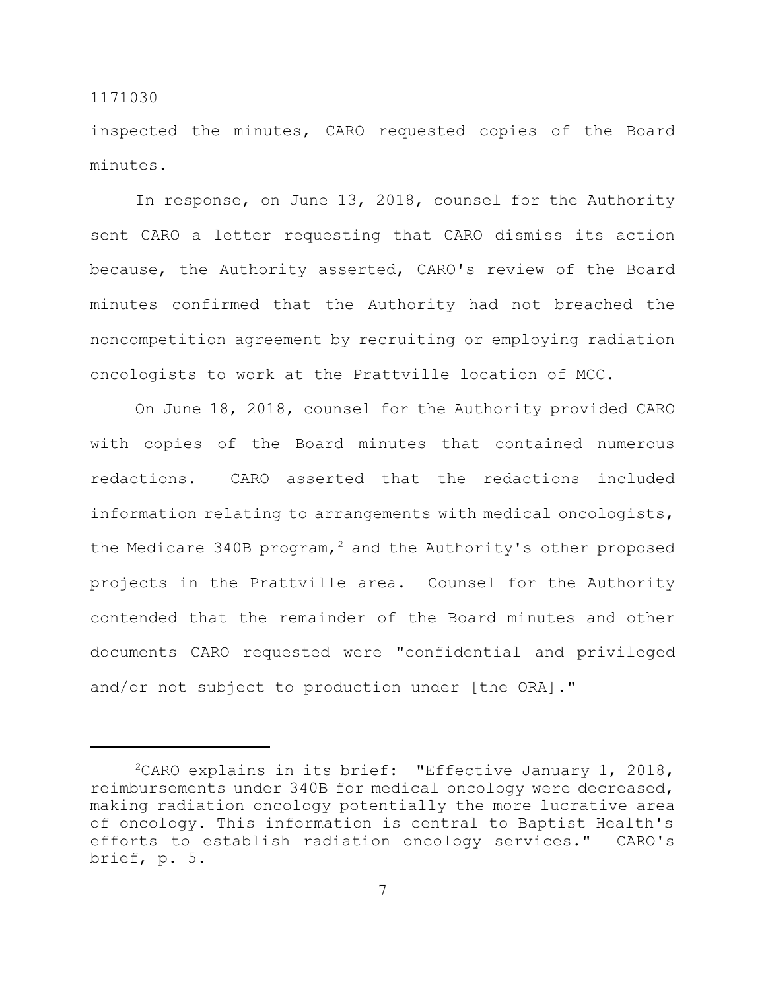inspected the minutes, CARO requested copies of the Board minutes.

In response, on June 13, 2018, counsel for the Authority sent CARO a letter requesting that CARO dismiss its action because, the Authority asserted, CARO's review of the Board minutes confirmed that the Authority had not breached the noncompetition agreement by recruiting or employing radiation oncologists to work at the Prattville location of MCC.

On June 18, 2018, counsel for the Authority provided CARO with copies of the Board minutes that contained numerous redactions. CARO asserted that the redactions included information relating to arrangements with medical oncologists, the Medicare 340B program,<sup>2</sup> and the Authority's other proposed projects in the Prattville area. Counsel for the Authority contended that the remainder of the Board minutes and other documents CARO requested were "confidential and privileged and/or not subject to production under [the ORA]."

 $2$ CARO explains in its brief: "Effective January 1, 2018, reimbursements under 340B for medical oncology were decreased, making radiation oncology potentially the more lucrative area of oncology. This information is central to Baptist Health's efforts to establish radiation oncology services." CARO's brief, p. 5.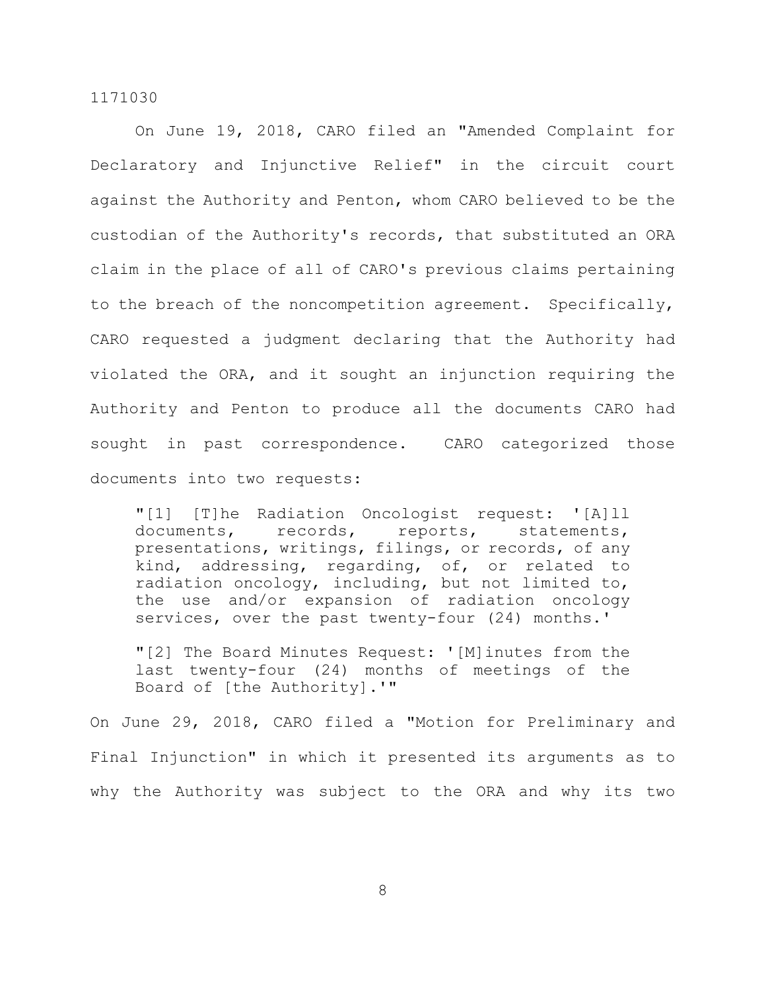On June 19, 2018, CARO filed an "Amended Complaint for Declaratory and Injunctive Relief" in the circuit court against the Authority and Penton, whom CARO believed to be the custodian of the Authority's records, that substituted an ORA claim in the place of all of CARO's previous claims pertaining to the breach of the noncompetition agreement. Specifically, CARO requested a judgment declaring that the Authority had violated the ORA, and it sought an injunction requiring the Authority and Penton to produce all the documents CARO had sought in past correspondence. CARO categorized those documents into two requests:

"[1] [T]he Radiation Oncologist request: '[A]ll documents, records, reports, statements, presentations, writings, filings, or records, of any kind, addressing, regarding, of, or related to radiation oncology, including, but not limited to, the use and/or expansion of radiation oncology services, over the past twenty-four (24) months.'

"[2] The Board Minutes Request: '[M]inutes from the last twenty-four (24) months of meetings of the Board of [the Authority].'"

On June 29, 2018, CARO filed a "Motion for Preliminary and Final Injunction" in which it presented its arguments as to why the Authority was subject to the ORA and why its two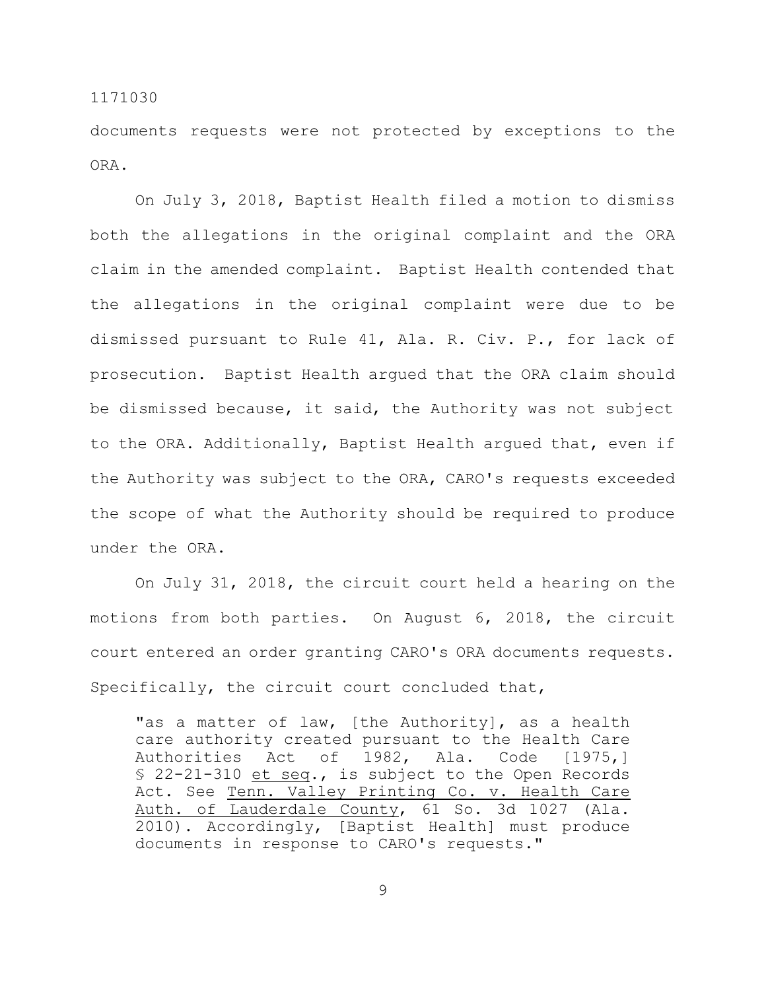documents requests were not protected by exceptions to the ORA.

On July 3, 2018, Baptist Health filed a motion to dismiss both the allegations in the original complaint and the ORA claim in the amended complaint. Baptist Health contended that the allegations in the original complaint were due to be dismissed pursuant to Rule 41, Ala. R. Civ. P., for lack of prosecution. Baptist Health argued that the ORA claim should be dismissed because, it said, the Authority was not subject to the ORA. Additionally, Baptist Health argued that, even if the Authority was subject to the ORA, CARO's requests exceeded the scope of what the Authority should be required to produce under the ORA.

On July 31, 2018, the circuit court held a hearing on the motions from both parties. On August 6, 2018, the circuit court entered an order granting CARO's ORA documents requests. Specifically, the circuit court concluded that,

"as a matter of law, [the Authority], as a health care authority created pursuant to the Health Care Authorities Act of 1982, Ala. Code [1975,] § 22-21-310 et seq., is subject to the Open Records Act. See Tenn. Valley Printing Co. v. Health Care Auth. of Lauderdale County, 61 So. 3d 1027 (Ala. 2010). Accordingly, [Baptist Health] must produce documents in response to CARO's requests."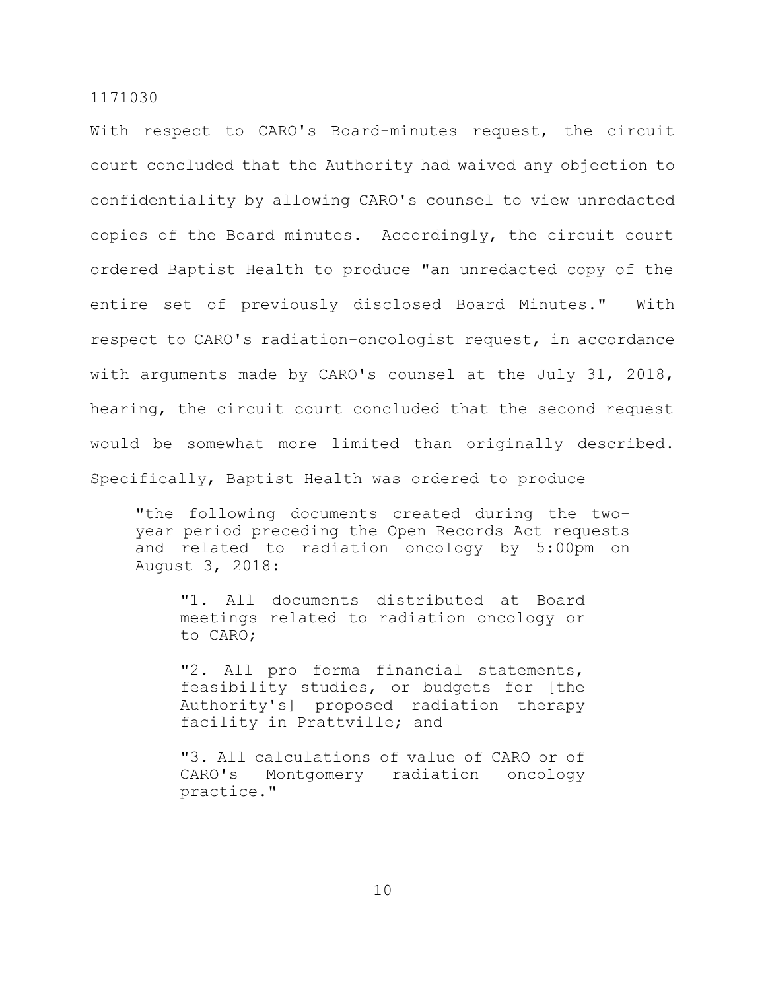With respect to CARO's Board-minutes request, the circuit court concluded that the Authority had waived any objection to confidentiality by allowing CARO's counsel to view unredacted copies of the Board minutes. Accordingly, the circuit court ordered Baptist Health to produce "an unredacted copy of the entire set of previously disclosed Board Minutes." With respect to CARO's radiation-oncologist request, in accordance with arguments made by CARO's counsel at the July 31, 2018, hearing, the circuit court concluded that the second request would be somewhat more limited than originally described. Specifically, Baptist Health was ordered to produce

"the following documents created during the twoyear period preceding the Open Records Act requests and related to radiation oncology by 5:00pm on August 3, 2018:

"1. All documents distributed at Board meetings related to radiation oncology or to CARO;

"2. All pro forma financial statements, feasibility studies, or budgets for [the Authority's] proposed radiation therapy facility in Prattville; and

"3. All calculations of value of CARO or of CARO's Montgomery radiation oncology practice."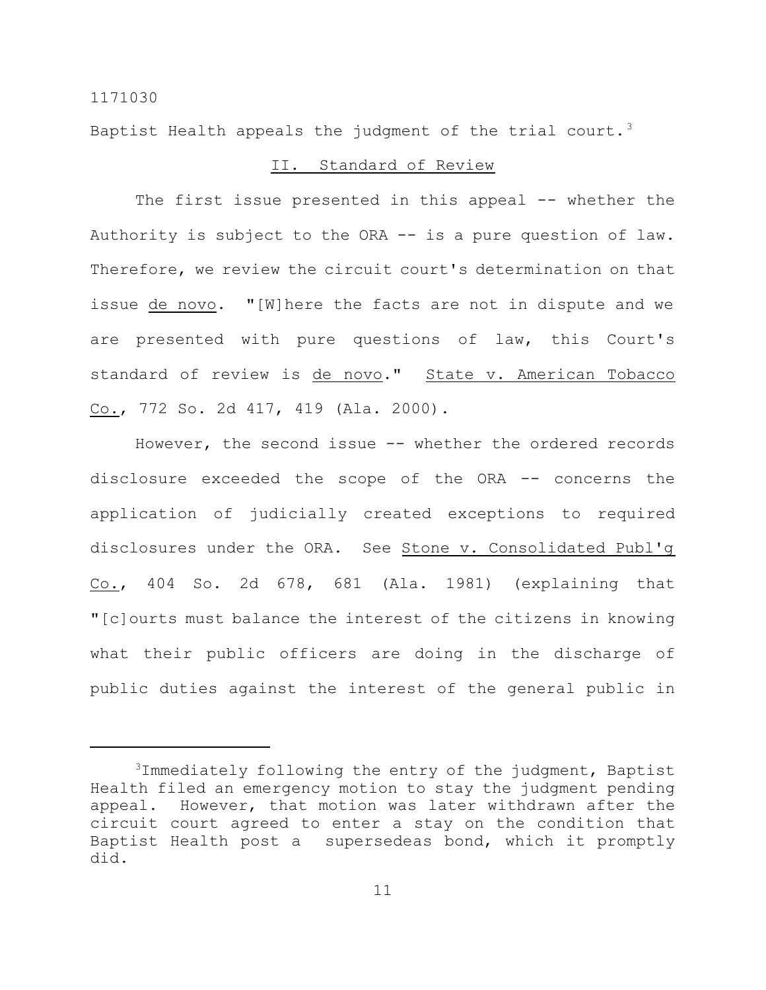Baptist Health appeals the judgment of the trial court.<sup>3</sup>

## II. Standard of Review

The first issue presented in this appeal -- whether the Authority is subject to the ORA -- is a pure question of law. Therefore, we review the circuit court's determination on that issue de novo. "[W]here the facts are not in dispute and we are presented with pure questions of law, this Court's standard of review is de novo." State v. American Tobacco Co., 772 So. 2d 417, 419 (Ala. 2000).

However, the second issue -- whether the ordered records disclosure exceeded the scope of the ORA -- concerns the application of judicially created exceptions to required disclosures under the ORA. See Stone v. Consolidated Publ'g Co., 404 So. 2d 678, 681 (Ala. 1981) (explaining that "[c]ourts must balance the interest of the citizens in knowing what their public officers are doing in the discharge of public duties against the interest of the general public in

<sup>3</sup>Immediately following the entry of the judgment, Baptist Health filed an emergency motion to stay the judgment pending appeal. However, that motion was later withdrawn after the circuit court agreed to enter a stay on the condition that Baptist Health post a supersedeas bond, which it promptly did.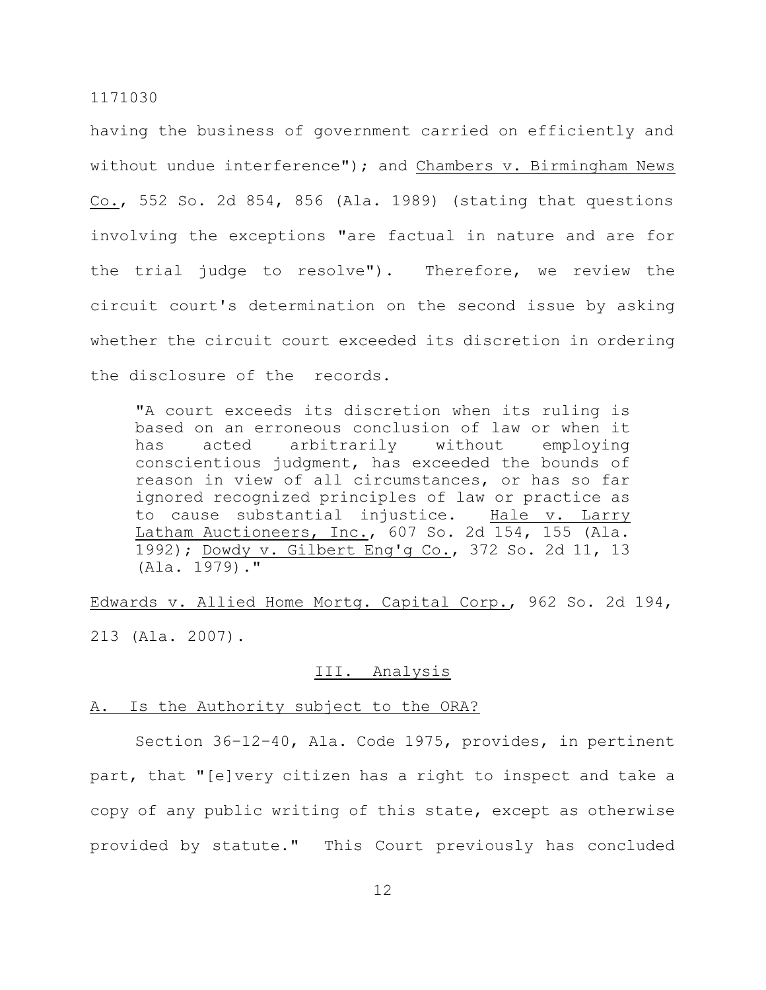having the business of government carried on efficiently and without undue interference"); and Chambers v. Birmingham News Co., 552 So. 2d 854, 856 (Ala. 1989) (stating that questions involving the exceptions "are factual in nature and are for the trial judge to resolve"). Therefore, we review the circuit court's determination on the second issue by asking whether the circuit court exceeded its discretion in ordering the disclosure of the records.

"A court exceeds its discretion when its ruling is based on an erroneous conclusion of law or when it has acted arbitrarily without employing conscientious judgment, has exceeded the bounds of reason in view of all circumstances, or has so far ignored recognized principles of law or practice as to cause substantial injustice. Hale v. Larry Latham Auctioneers, Inc., 607 So. 2d 154, 155 (Ala. 1992); Dowdy v. Gilbert Eng'g Co., 372 So. 2d 11, 13 (Ala. 1979)."

Edwards v. Allied Home Mortg. Capital Corp., 962 So. 2d 194, 213 (Ala. 2007).

## III. Analysis

#### A. Is the Authority subject to the ORA?

Section 36–12–40, Ala. Code 1975, provides, in pertinent part, that "[e]very citizen has a right to inspect and take a copy of any public writing of this state, except as otherwise provided by statute." This Court previously has concluded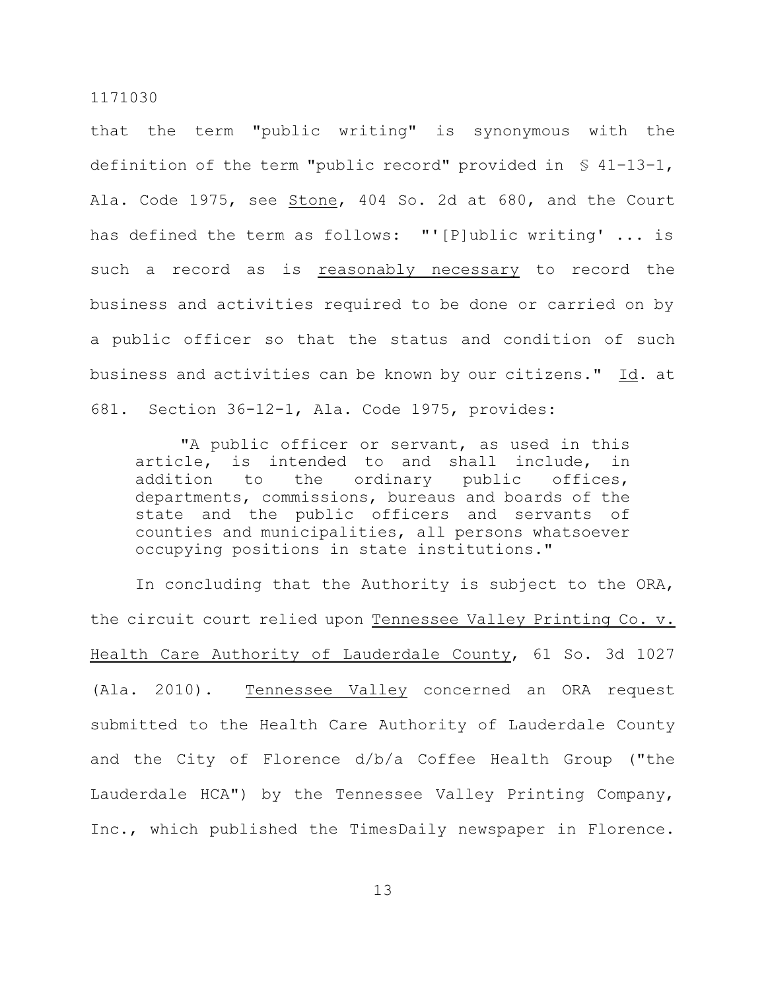that the term "public writing" is synonymous with the definition of the term "public record" provided in § 41–13–1, Ala. Code 1975, see Stone, 404 So. 2d at 680, and the Court has defined the term as follows: "'[P]ublic writing' ... is such a record as is reasonably necessary to record the business and activities required to be done or carried on by a public officer so that the status and condition of such business and activities can be known by our citizens." Id. at 681. Section 36-12-1, Ala. Code 1975, provides:

"A public officer or servant, as used in this article, is intended to and shall include, in addition to the ordinary public offices, departments, commissions, bureaus and boards of the state and the public officers and servants of counties and municipalities, all persons whatsoever occupying positions in state institutions."

In concluding that the Authority is subject to the ORA, the circuit court relied upon Tennessee Valley Printing Co. v. Health Care Authority of Lauderdale County, 61 So. 3d 1027 (Ala. 2010). Tennessee Valley concerned an ORA request submitted to the Health Care Authority of Lauderdale County and the City of Florence d/b/a Coffee Health Group ("the Lauderdale HCA") by the Tennessee Valley Printing Company, Inc., which published the TimesDaily newspaper in Florence.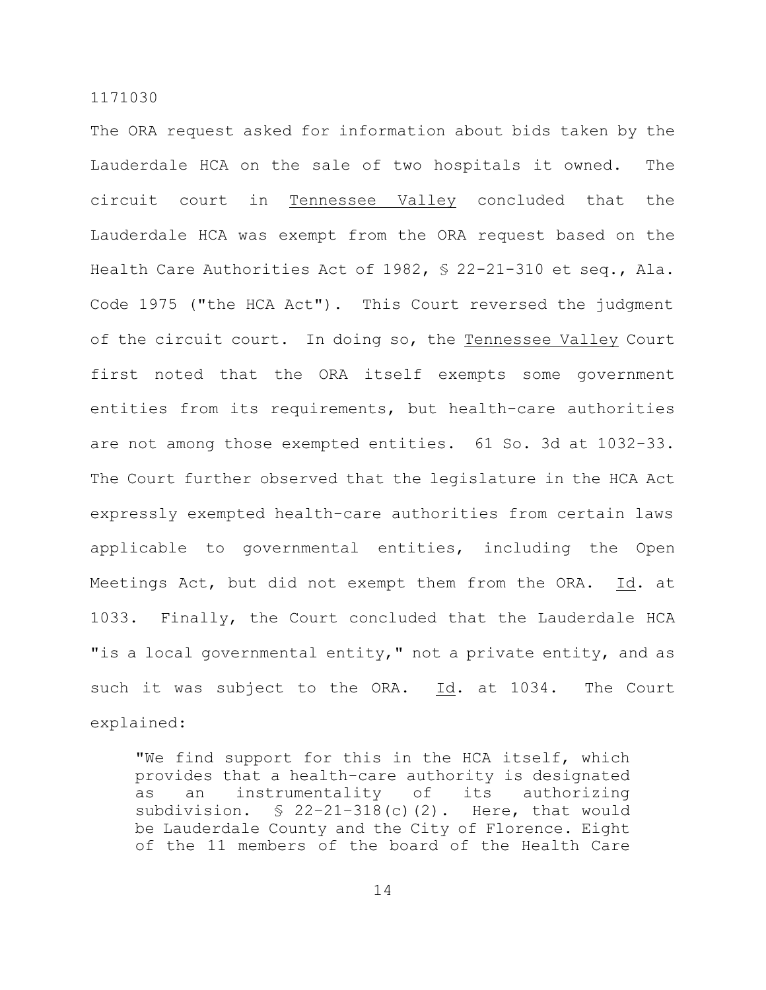The ORA request asked for information about bids taken by the Lauderdale HCA on the sale of two hospitals it owned. The circuit court in Tennessee Valley concluded that the Lauderdale HCA was exempt from the ORA request based on the Health Care Authorities Act of 1982, § 22-21-310 et seq., Ala. Code 1975 ("the HCA Act"). This Court reversed the judgment of the circuit court. In doing so, the Tennessee Valley Court first noted that the ORA itself exempts some government entities from its requirements, but health-care authorities are not among those exempted entities. 61 So. 3d at 1032-33. The Court further observed that the legislature in the HCA Act expressly exempted health-care authorities from certain laws applicable to governmental entities, including the Open Meetings Act, but did not exempt them from the ORA. Id. at 1033. Finally, the Court concluded that the Lauderdale HCA "is a local governmental entity," not a private entity, and as such it was subject to the ORA. Id. at 1034. The Court explained:

"We find support for this in the HCA itself, which provides that a health-care authority is designated as an instrumentality of its authorizing subdivision.  $\frac{1}{2}$  22-21-318(c)(2). Here, that would be Lauderdale County and the City of Florence. Eight of the 11 members of the board of the Health Care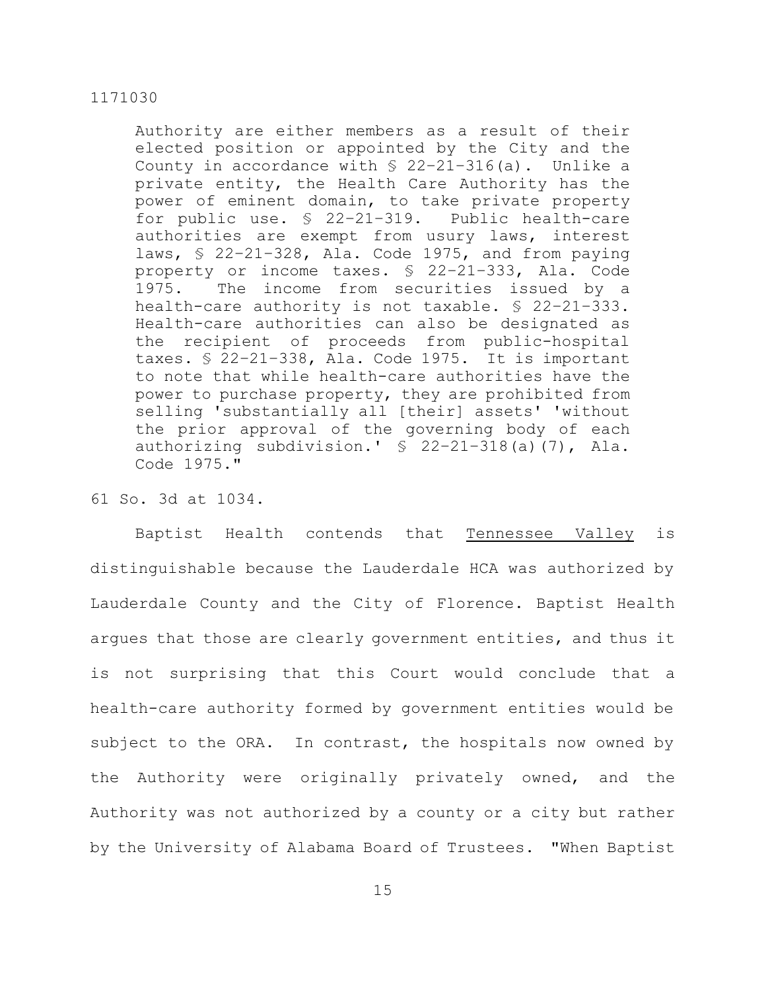Authority are either members as a result of their elected position or appointed by the City and the County in accordance with  $$ 22-21-316(a)$ . Unlike a private entity, the Health Care Authority has the power of eminent domain, to take private property for public use. § 22–21–319. Public health-care authorities are exempt from usury laws, interest laws, § 22–21–328, Ala. Code 1975, and from paying property or income taxes. § 22–21–333, Ala. Code 1975. The income from securities issued by a health-care authority is not taxable. § 22–21–333. Health-care authorities can also be designated as the recipient of proceeds from public-hospital taxes. § 22–21–338, Ala. Code 1975. It is important to note that while health-care authorities have the power to purchase property, they are prohibited from selling 'substantially all [their] assets' 'without the prior approval of the governing body of each authorizing subdivision.' § 22–21–318(a)(7), Ala. Code 1975."

# 61 So. 3d at 1034.

Baptist Health contends that Tennessee Valley is distinguishable because the Lauderdale HCA was authorized by Lauderdale County and the City of Florence. Baptist Health argues that those are clearly government entities, and thus it is not surprising that this Court would conclude that a health-care authority formed by government entities would be subject to the ORA. In contrast, the hospitals now owned by the Authority were originally privately owned, and the Authority was not authorized by a county or a city but rather by the University of Alabama Board of Trustees. "When Baptist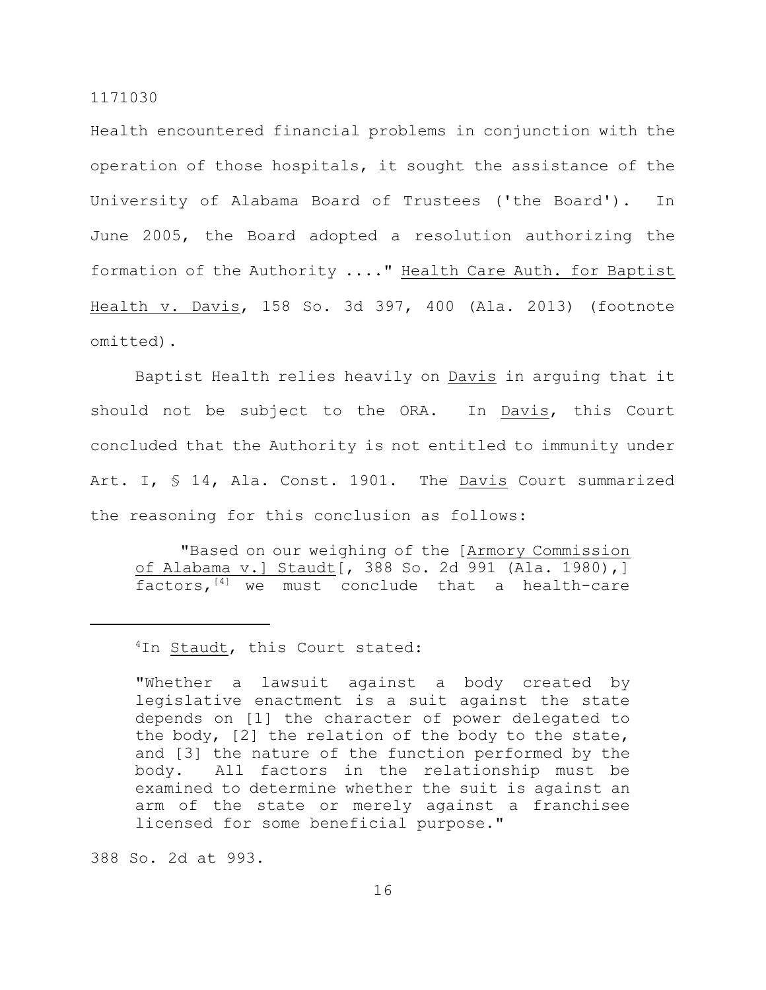Health encountered financial problems in conjunction with the operation of those hospitals, it sought the assistance of the University of Alabama Board of Trustees ('the Board'). In June 2005, the Board adopted a resolution authorizing the formation of the Authority ...." Health Care Auth. for Baptist Health v. Davis, 158 So. 3d 397, 400 (Ala. 2013) (footnote omitted).

Baptist Health relies heavily on Davis in arguing that it should not be subject to the ORA. In Davis, this Court concluded that the Authority is not entitled to immunity under Art. I, § 14, Ala. Const. 1901. The Davis Court summarized the reasoning for this conclusion as follows:

"Based on our weighing of the [Armory Commission of Alabama v.] Staudt[, 388 So. 2d 991 (Ala. 1980),] factors, $[4]$  we must conclude that a health-care

## <sup>4</sup>In **Staudt**, this Court stated:

"Whether a lawsuit against a body created by legislative enactment is a suit against the state depends on [1] the character of power delegated to the body, [2] the relation of the body to the state, and [3] the nature of the function performed by the body. All factors in the relationship must be examined to determine whether the suit is against an arm of the state or merely against a franchisee licensed for some beneficial purpose."

388 So. 2d at 993.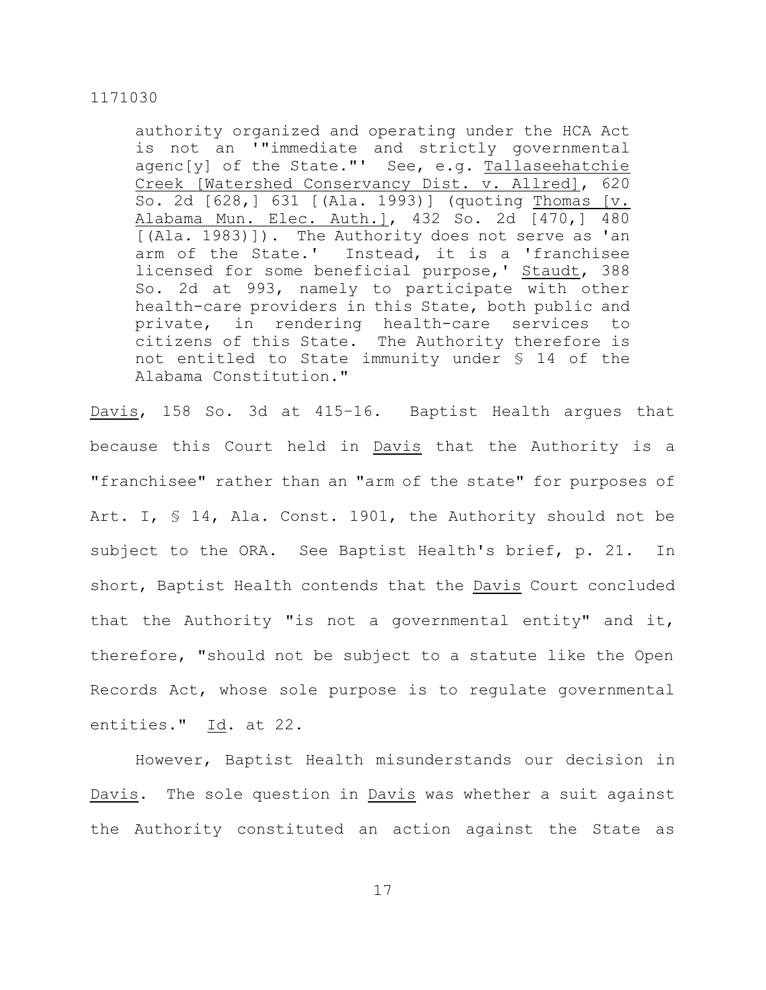authority organized and operating under the HCA Act is not an '"immediate and strictly governmental agenc[y] of the State."' See, e.g. Tallaseehatchie Creek [Watershed Conservancy Dist. v. Allred], 620 So. 2d [628,] 631 [(Ala. 1993)] (quoting Thomas [v. Alabama Mun. Elec. Auth.], 432 So. 2d [470,] 480 [(Ala. 1983)]). The Authority does not serve as 'an arm of the State.' Instead, it is a 'franchisee licensed for some beneficial purpose,' Staudt, 388 So. 2d at 993, namely to participate with other health-care providers in this State, both public and private, in rendering health-care services to citizens of this State. The Authority therefore is not entitled to State immunity under § 14 of the Alabama Constitution."

Davis, 158 So. 3d at 415–16. Baptist Health argues that because this Court held in Davis that the Authority is a "franchisee" rather than an "arm of the state" for purposes of Art. I, § 14, Ala. Const. 1901, the Authority should not be subject to the ORA. See Baptist Health's brief, p. 21. In short, Baptist Health contends that the Davis Court concluded that the Authority "is not a governmental entity" and it, therefore, "should not be subject to a statute like the Open Records Act, whose sole purpose is to regulate governmental entities." Id. at 22.

However, Baptist Health misunderstands our decision in Davis. The sole question in Davis was whether a suit against the Authority constituted an action against the State as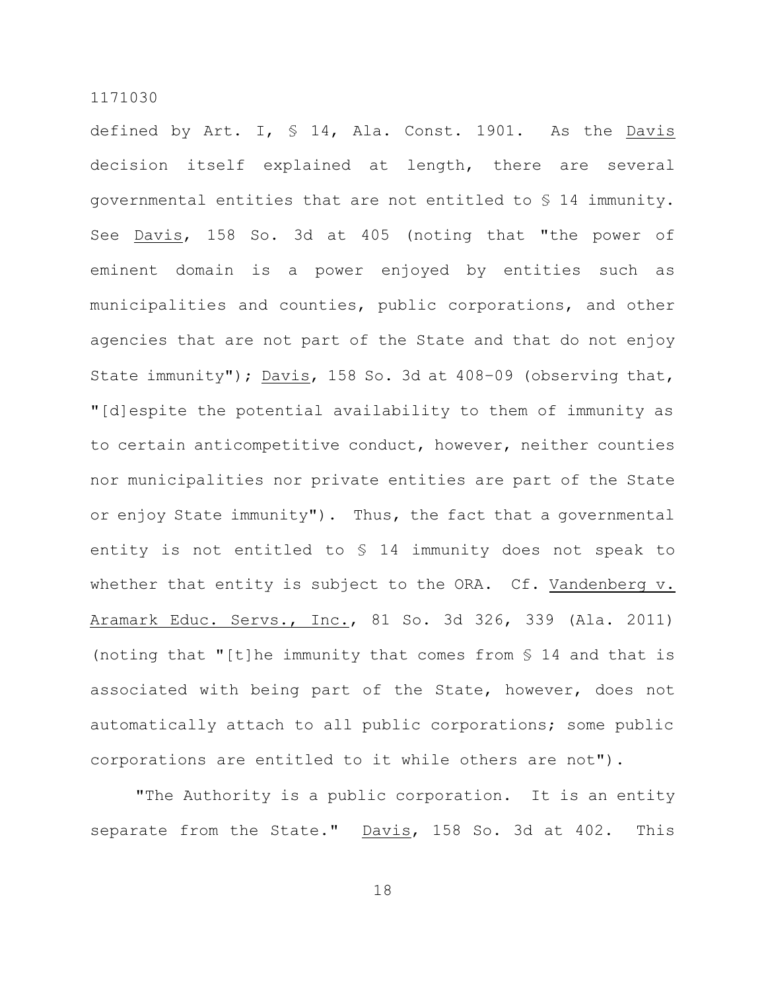defined by Art. I, § 14, Ala. Const. 1901. As the Davis decision itself explained at length, there are several governmental entities that are not entitled to § 14 immunity. See Davis, 158 So. 3d at 405 (noting that "the power of eminent domain is a power enjoyed by entities such as municipalities and counties, public corporations, and other agencies that are not part of the State and that do not enjoy State immunity"); Davis, 158 So. 3d at 408–09 (observing that, "[d]espite the potential availability to them of immunity as to certain anticompetitive conduct, however, neither counties nor municipalities nor private entities are part of the State or enjoy State immunity"). Thus, the fact that a governmental entity is not entitled to § 14 immunity does not speak to whether that entity is subject to the ORA. Cf. Vandenberg v. Aramark Educ. Servs., Inc., 81 So. 3d 326, 339 (Ala. 2011) (noting that "[t]he immunity that comes from § 14 and that is associated with being part of the State, however, does not automatically attach to all public corporations; some public corporations are entitled to it while others are not").

"The Authority is a public corporation. It is an entity separate from the State." Davis, 158 So. 3d at 402. This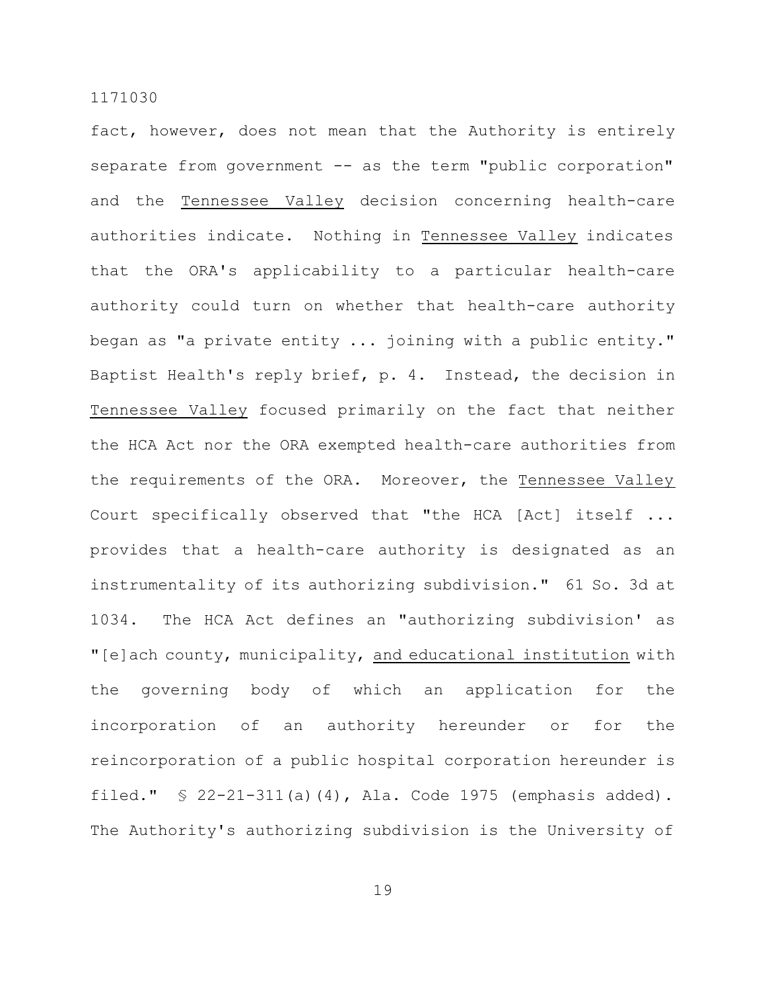fact, however, does not mean that the Authority is entirely separate from government -- as the term "public corporation" and the Tennessee Valley decision concerning health-care authorities indicate. Nothing in Tennessee Valley indicates that the ORA's applicability to a particular health-care authority could turn on whether that health-care authority began as "a private entity ... joining with a public entity." Baptist Health's reply brief, p. 4. Instead, the decision in Tennessee Valley focused primarily on the fact that neither the HCA Act nor the ORA exempted health-care authorities from the requirements of the ORA. Moreover, the Tennessee Valley Court specifically observed that "the HCA [Act] itself ... provides that a health-care authority is designated as an instrumentality of its authorizing subdivision." 61 So. 3d at 1034. The HCA Act defines an "authorizing subdivision' as "[e]ach county, municipality, and educational institution with the governing body of which an application for the incorporation of an authority hereunder or for the reincorporation of a public hospital corporation hereunder is filed." § 22-21-311(a)(4), Ala. Code 1975 (emphasis added). The Authority's authorizing subdivision is the University of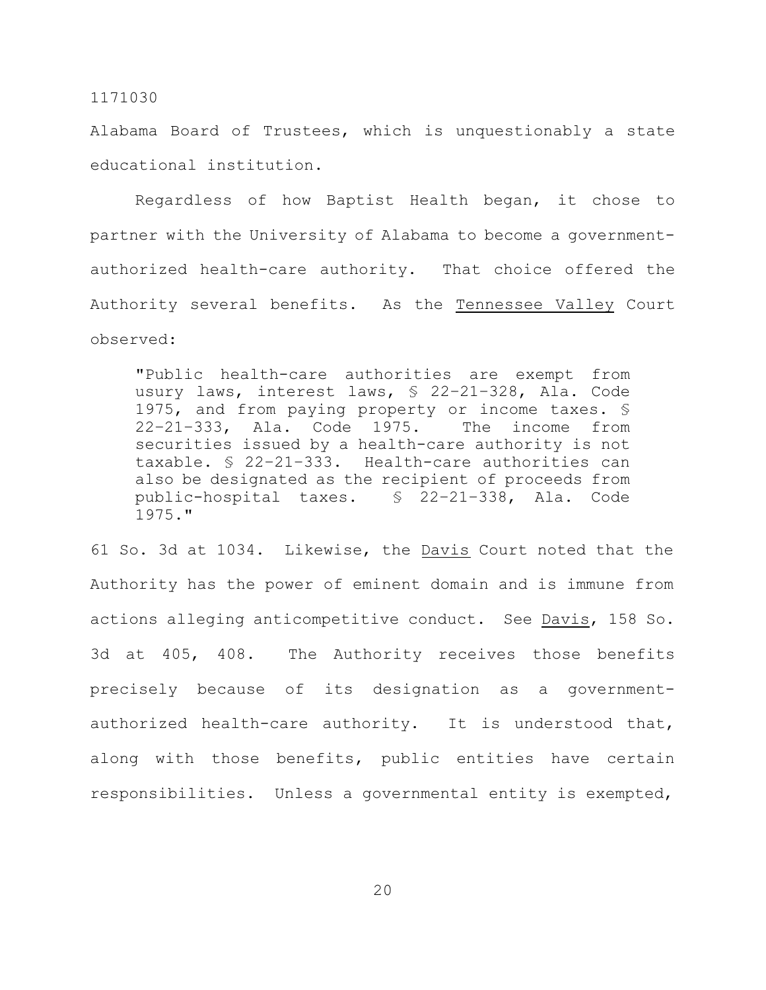Alabama Board of Trustees, which is unquestionably a state educational institution.

Regardless of how Baptist Health began, it chose to partner with the University of Alabama to become a governmentauthorized health-care authority. That choice offered the Authority several benefits. As the Tennessee Valley Court observed:

"Public health-care authorities are exempt from usury laws, interest laws, § 22–21–328, Ala. Code 1975, and from paying property or income taxes. § 22–21–333, Ala. Code 1975. The income from securities issued by a health-care authority is not taxable. § 22–21–333. Health-care authorities can also be designated as the recipient of proceeds from public-hospital taxes. § 22–21–338, Ala. Code 1975."

61 So. 3d at 1034. Likewise, the Davis Court noted that the Authority has the power of eminent domain and is immune from actions alleging anticompetitive conduct. See Davis, 158 So. 3d at 405, 408. The Authority receives those benefits precisely because of its designation as a governmentauthorized health-care authority. It is understood that, along with those benefits, public entities have certain responsibilities. Unless a governmental entity is exempted,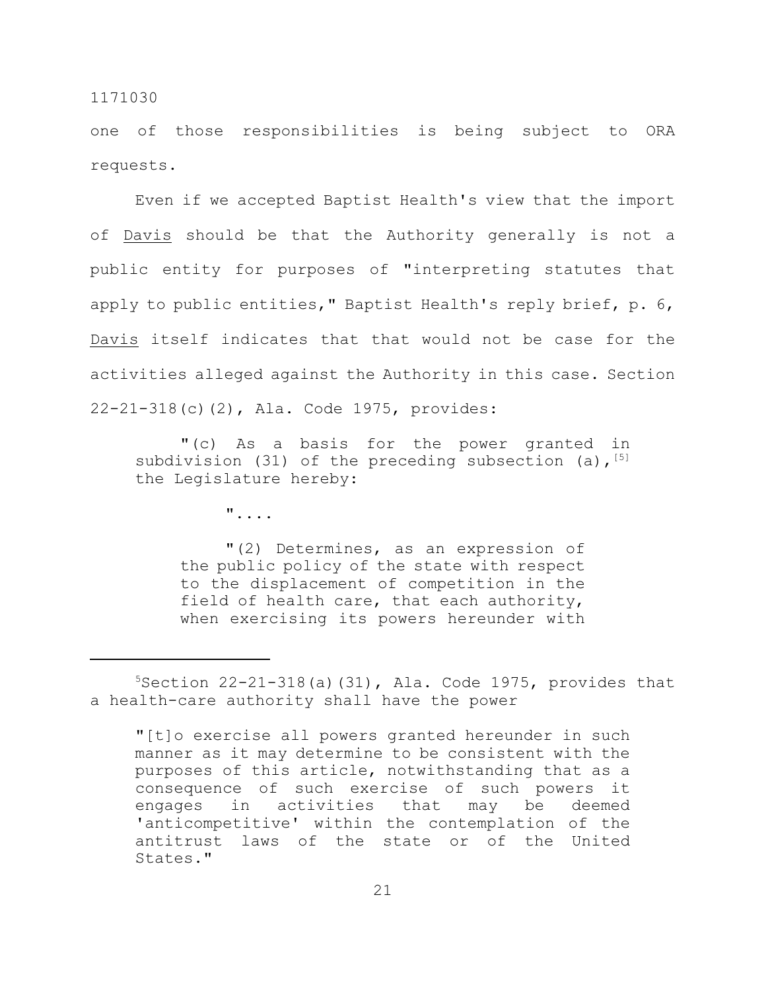one of those responsibilities is being subject to ORA requests.

Even if we accepted Baptist Health's view that the import of Davis should be that the Authority generally is not a public entity for purposes of "interpreting statutes that apply to public entities," Baptist Health's reply brief, p. 6, Davis itself indicates that that would not be case for the activities alleged against the Authority in this case. Section 22-21-318(c)(2), Ala. Code 1975, provides:

"(c) As a basis for the power granted in subdivision (31) of the preceding subsection (a),  $^{[5]}$ the Legislature hereby:

"....

"(2) Determines, as an expression of the public policy of the state with respect to the displacement of competition in the field of health care, that each authority, when exercising its powers hereunder with

 $5$ Section 22-21-318(a)(31), Ala. Code 1975, provides that a health-care authority shall have the power

<sup>&</sup>quot;[t]o exercise all powers granted hereunder in such manner as it may determine to be consistent with the purposes of this article, notwithstanding that as a consequence of such exercise of such powers it engages in activities that may be deemed 'anticompetitive' within the contemplation of the antitrust laws of the state or of the United States."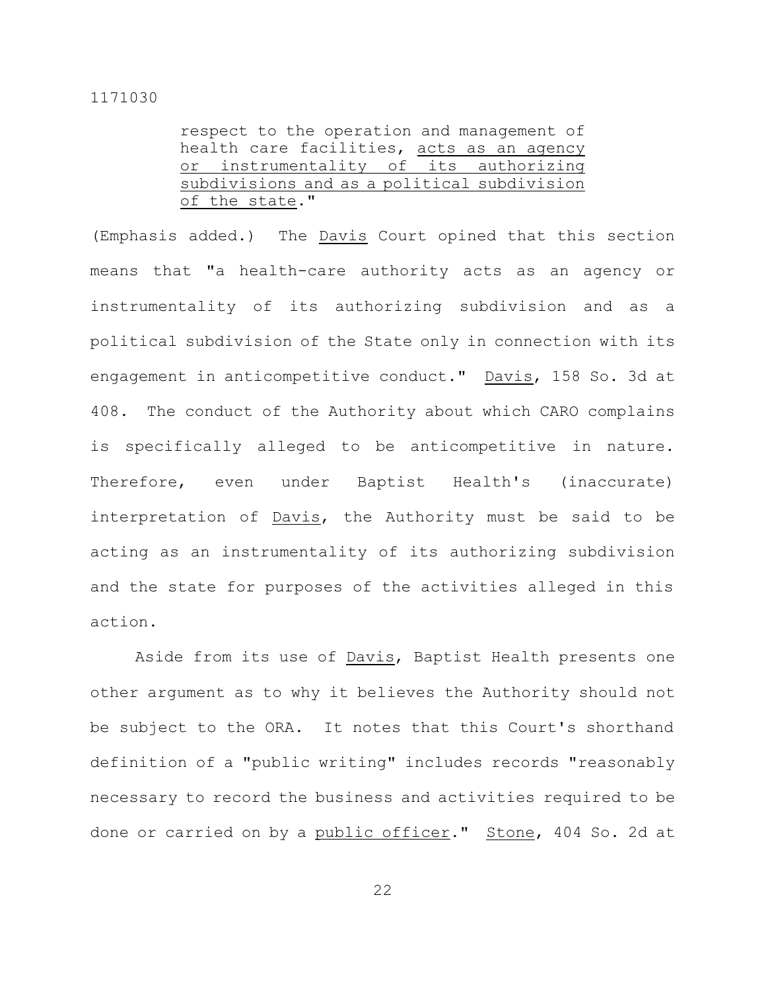| respect to the operation and management of  |  |  |  |  |  |  |
|---------------------------------------------|--|--|--|--|--|--|
| health care facilities, acts as an agency   |  |  |  |  |  |  |
| or instrumentality of its authorizing       |  |  |  |  |  |  |
| subdivisions and as a political subdivision |  |  |  |  |  |  |
| of the state."                              |  |  |  |  |  |  |

(Emphasis added.) The Davis Court opined that this section means that "a health-care authority acts as an agency or instrumentality of its authorizing subdivision and as a political subdivision of the State only in connection with its engagement in anticompetitive conduct." Davis, 158 So. 3d at 408. The conduct of the Authority about which CARO complains is specifically alleged to be anticompetitive in nature. Therefore, even under Baptist Health's (inaccurate) interpretation of Davis, the Authority must be said to be acting as an instrumentality of its authorizing subdivision and the state for purposes of the activities alleged in this action.

Aside from its use of Davis, Baptist Health presents one other argument as to why it believes the Authority should not be subject to the ORA. It notes that this Court's shorthand definition of a "public writing" includes records "reasonably necessary to record the business and activities required to be done or carried on by a public officer." Stone, 404 So. 2d at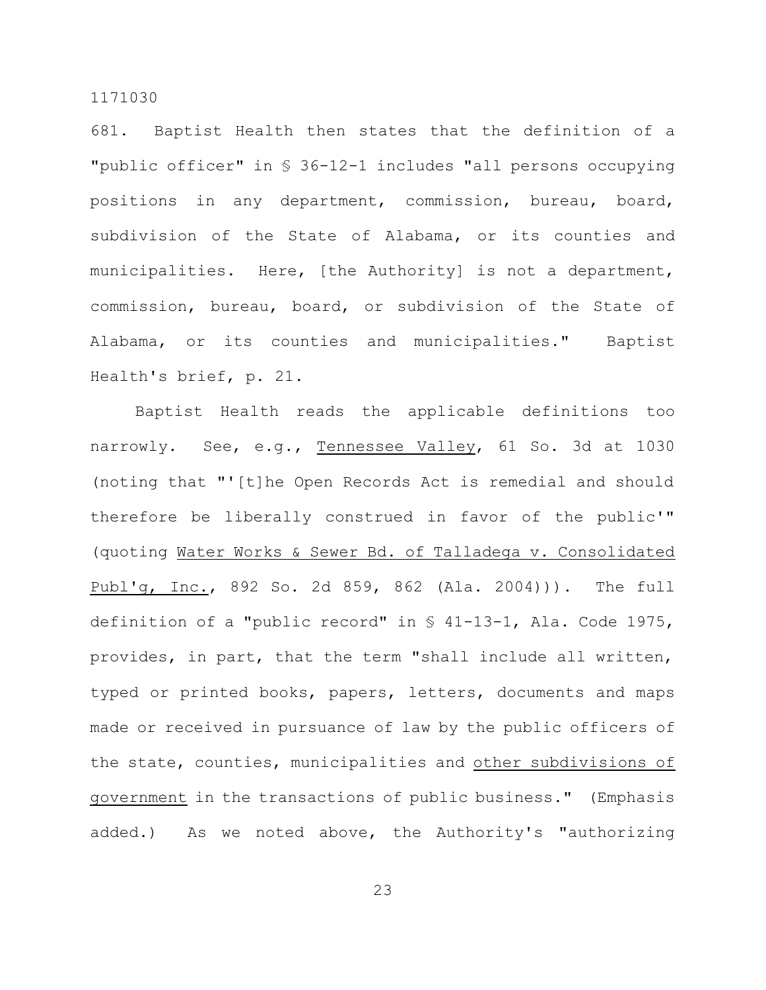681. Baptist Health then states that the definition of a "public officer" in § 36-12-1 includes "all persons occupying positions in any department, commission, bureau, board, subdivision of the State of Alabama, or its counties and municipalities. Here, [the Authority] is not a department, commission, bureau, board, or subdivision of the State of Alabama, or its counties and municipalities." Baptist Health's brief, p. 21.

Baptist Health reads the applicable definitions too narrowly. See, e.g., Tennessee Valley, 61 So. 3d at 1030 (noting that "'[t]he Open Records Act is remedial and should therefore be liberally construed in favor of the public'" (quoting Water Works & Sewer Bd. of Talladega v. Consolidated Publ'g, Inc., 892 So. 2d 859, 862 (Ala. 2004))). The full definition of a "public record" in § 41-13-1, Ala. Code 1975, provides, in part, that the term "shall include all written, typed or printed books, papers, letters, documents and maps made or received in pursuance of law by the public officers of the state, counties, municipalities and other subdivisions of government in the transactions of public business." (Emphasis added.) As we noted above, the Authority's "authorizing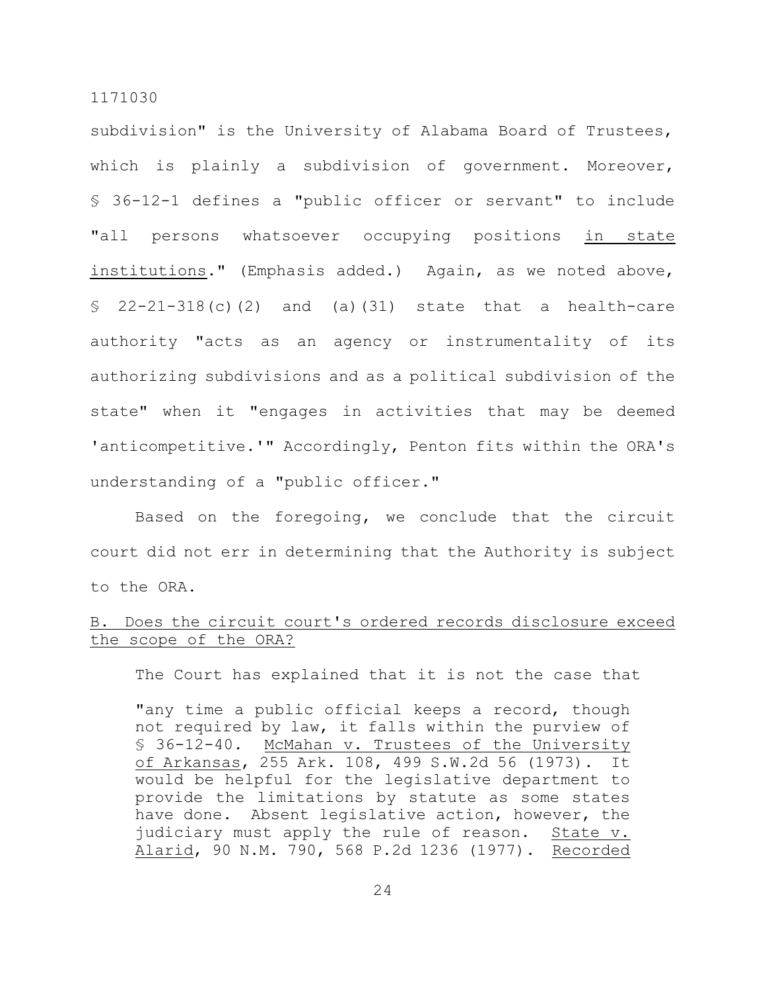subdivision" is the University of Alabama Board of Trustees, which is plainly a subdivision of government. Moreover, § 36-12-1 defines a "public officer or servant" to include "all persons whatsoever occupying positions in state institutions." (Emphasis added.) Again, as we noted above,  $$ 22-21-318(c) (2)$  and (a)(31) state that a health-care authority "acts as an agency or instrumentality of its authorizing subdivisions and as a political subdivision of the state" when it "engages in activities that may be deemed 'anticompetitive.'" Accordingly, Penton fits within the ORA's understanding of a "public officer."

Based on the foregoing, we conclude that the circuit court did not err in determining that the Authority is subject to the ORA.

# B. Does the circuit court's ordered records disclosure exceed the scope of the ORA?

The Court has explained that it is not the case that

"any time a public official keeps a record, though not required by law, it falls within the purview of § 36-12-40. McMahan v. Trustees of the University of Arkansas, 255 Ark. 108, 499 S.W.2d 56 (1973). It would be helpful for the legislative department to provide the limitations by statute as some states have done. Absent legislative action, however, the judiciary must apply the rule of reason. State v. Alarid, 90 N.M. 790, 568 P.2d 1236 (1977). Recorded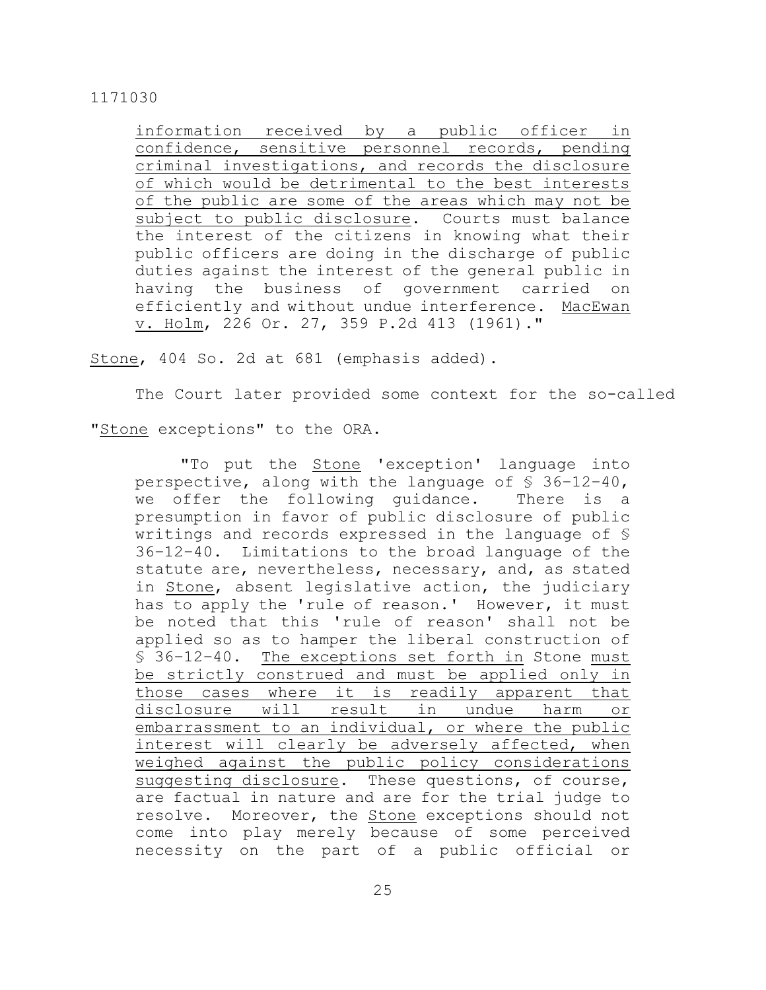information received by a public officer in confidence, sensitive personnel records, pending criminal investigations, and records the disclosure of which would be detrimental to the best interests of the public are some of the areas which may not be subject to public disclosure. Courts must balance the interest of the citizens in knowing what their public officers are doing in the discharge of public duties against the interest of the general public in having the business of government carried on efficiently and without undue interference. MacEwan v. Holm, 226 Or. 27, 359 P.2d 413 (1961)."

Stone, 404 So. 2d at 681 (emphasis added).

The Court later provided some context for the so-called

"Stone exceptions" to the ORA.

"To put the Stone 'exception' language into perspective, along with the language of  $$36-12-40$ , we offer the following guidance. There is a presumption in favor of public disclosure of public writings and records expressed in the language of § 36–12–40. Limitations to the broad language of the statute are, nevertheless, necessary, and, as stated in Stone, absent legislative action, the judiciary has to apply the 'rule of reason.' However, it must be noted that this 'rule of reason' shall not be applied so as to hamper the liberal construction of § 36–12–40. The exceptions set forth in Stone must be strictly construed and must be applied only in those cases where it is readily apparent that disclosure will result in undue harm or embarrassment to an individual, or where the public interest will clearly be adversely affected, when weighed against the public policy considerations suggesting disclosure. These questions, of course, are factual in nature and are for the trial judge to resolve. Moreover, the Stone exceptions should not come into play merely because of some perceived necessity on the part of a public official or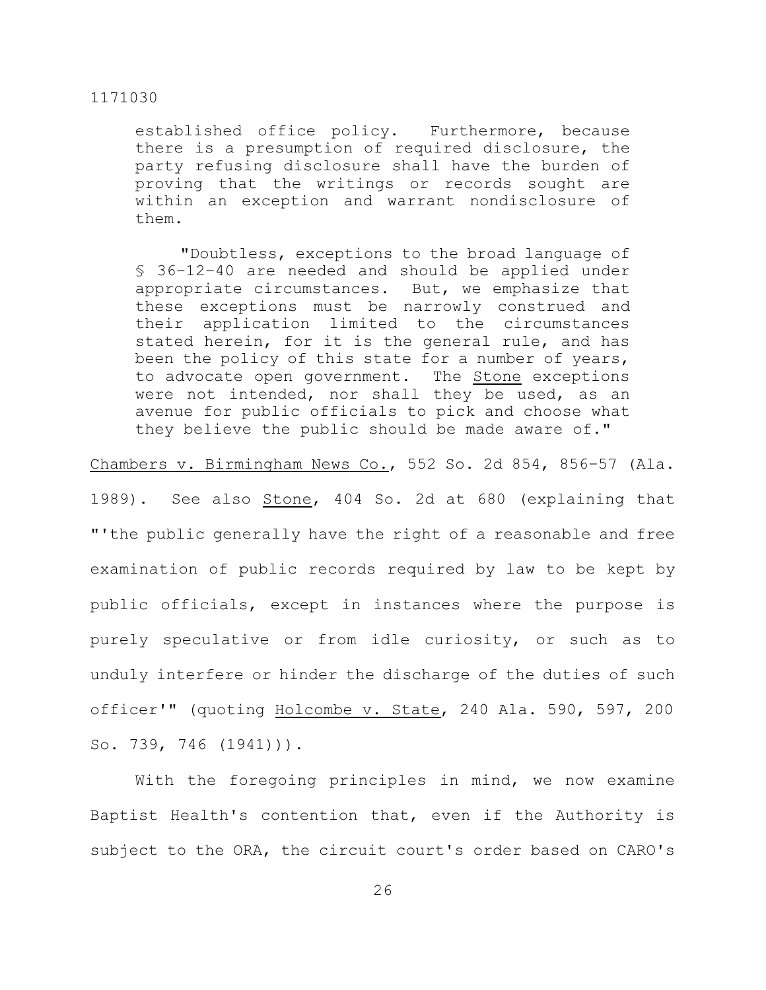established office policy. Furthermore, because there is a presumption of required disclosure, the party refusing disclosure shall have the burden of proving that the writings or records sought are within an exception and warrant nondisclosure of them.

"Doubtless, exceptions to the broad language of § 36–12–40 are needed and should be applied under appropriate circumstances. But, we emphasize that these exceptions must be narrowly construed and their application limited to the circumstances stated herein, for it is the general rule, and has been the policy of this state for a number of years, to advocate open government. The Stone exceptions were not intended, nor shall they be used, as an avenue for public officials to pick and choose what they believe the public should be made aware of."

## Chambers v. Birmingham News Co., 552 So. 2d 854, 856–57 (Ala.

1989). See also Stone, 404 So. 2d at 680 (explaining that "'the public generally have the right of a reasonable and free examination of public records required by law to be kept by public officials, except in instances where the purpose is purely speculative or from idle curiosity, or such as to unduly interfere or hinder the discharge of the duties of such officer'" (quoting Holcombe v. State, 240 Ala. 590, 597, 200 So. 739, 746 (1941))).

With the foregoing principles in mind, we now examine Baptist Health's contention that, even if the Authority is subject to the ORA, the circuit court's order based on CARO's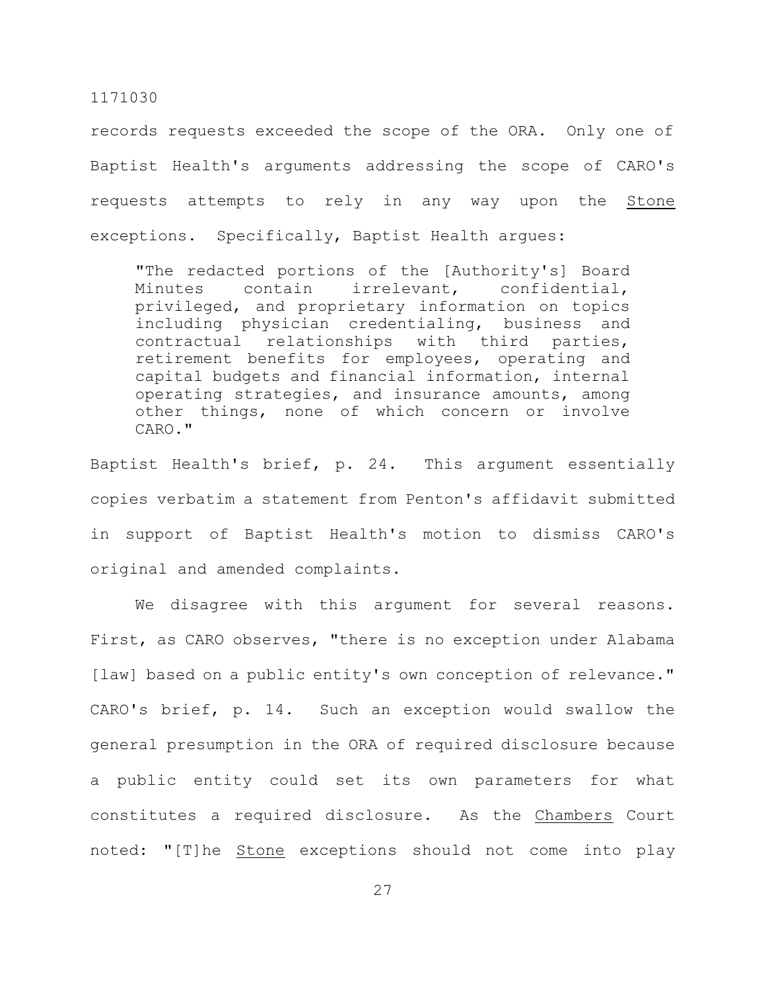records requests exceeded the scope of the ORA. Only one of Baptist Health's arguments addressing the scope of CARO's requests attempts to rely in any way upon the Stone exceptions. Specifically, Baptist Health argues:

"The redacted portions of the [Authority's] Board Minutes contain irrelevant, confidential, privileged, and proprietary information on topics including physician credentialing, business and contractual relationships with third parties, retirement benefits for employees, operating and capital budgets and financial information, internal operating strategies, and insurance amounts, among other things, none of which concern or involve CARO."

Baptist Health's brief, p. 24. This argument essentially copies verbatim a statement from Penton's affidavit submitted in support of Baptist Health's motion to dismiss CARO's original and amended complaints.

We disagree with this argument for several reasons. First, as CARO observes, "there is no exception under Alabama [law] based on a public entity's own conception of relevance." CARO's brief, p. 14. Such an exception would swallow the general presumption in the ORA of required disclosure because a public entity could set its own parameters for what constitutes a required disclosure. As the Chambers Court noted: "[T]he Stone exceptions should not come into play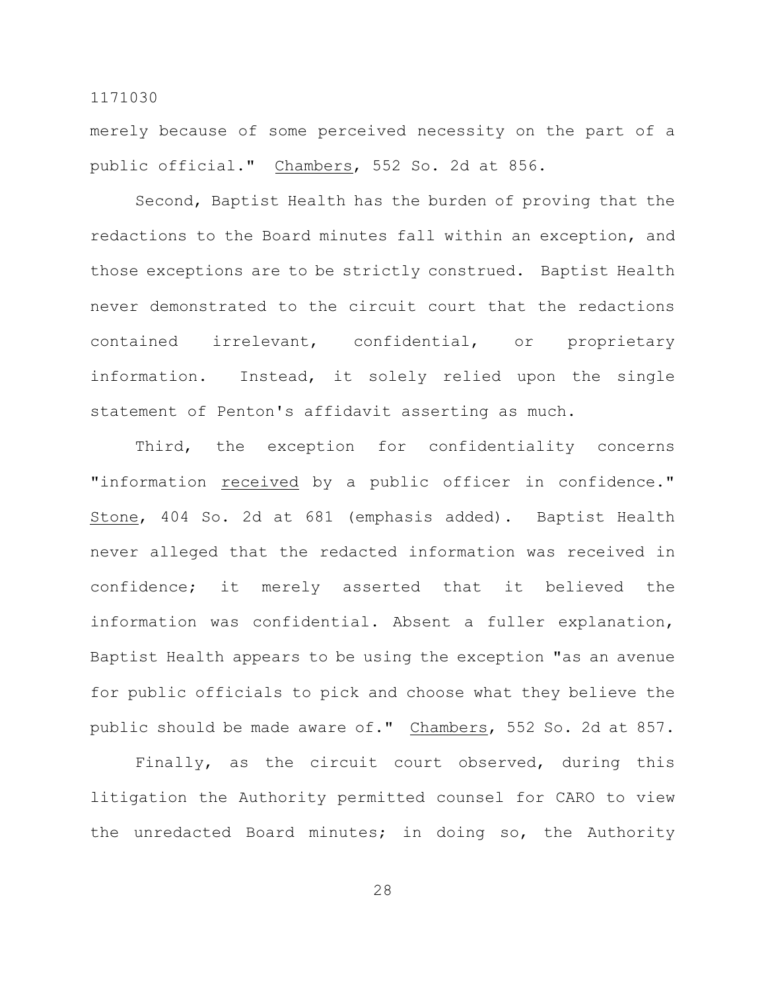merely because of some perceived necessity on the part of a public official." Chambers, 552 So. 2d at 856.

Second, Baptist Health has the burden of proving that the redactions to the Board minutes fall within an exception, and those exceptions are to be strictly construed. Baptist Health never demonstrated to the circuit court that the redactions contained irrelevant, confidential, or proprietary information. Instead, it solely relied upon the single statement of Penton's affidavit asserting as much.

Third, the exception for confidentiality concerns "information received by a public officer in confidence." Stone, 404 So. 2d at 681 (emphasis added). Baptist Health never alleged that the redacted information was received in confidence; it merely asserted that it believed the information was confidential. Absent a fuller explanation, Baptist Health appears to be using the exception "as an avenue for public officials to pick and choose what they believe the public should be made aware of." Chambers, 552 So. 2d at 857.

Finally, as the circuit court observed, during this litigation the Authority permitted counsel for CARO to view the unredacted Board minutes; in doing so, the Authority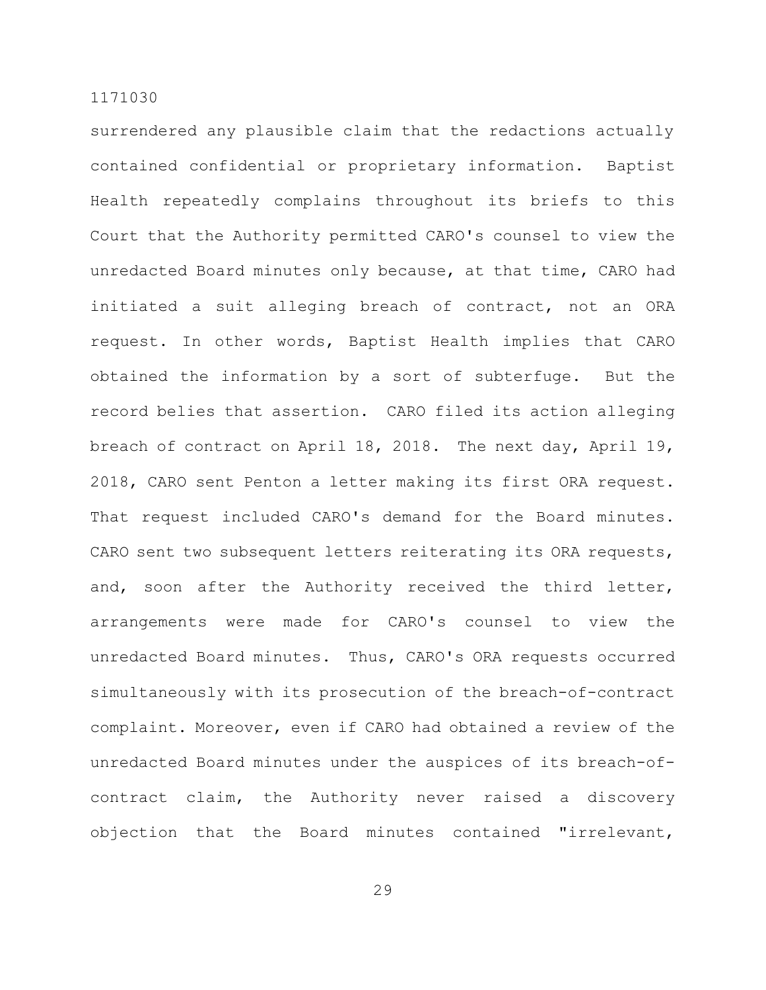surrendered any plausible claim that the redactions actually contained confidential or proprietary information. Baptist Health repeatedly complains throughout its briefs to this Court that the Authority permitted CARO's counsel to view the unredacted Board minutes only because, at that time, CARO had initiated a suit alleging breach of contract, not an ORA request. In other words, Baptist Health implies that CARO obtained the information by a sort of subterfuge. But the record belies that assertion. CARO filed its action alleging breach of contract on April 18, 2018. The next day, April 19, 2018, CARO sent Penton a letter making its first ORA request. That request included CARO's demand for the Board minutes. CARO sent two subsequent letters reiterating its ORA requests, and, soon after the Authority received the third letter, arrangements were made for CARO's counsel to view the unredacted Board minutes. Thus, CARO's ORA requests occurred simultaneously with its prosecution of the breach-of-contract complaint. Moreover, even if CARO had obtained a review of the unredacted Board minutes under the auspices of its breach-ofcontract claim, the Authority never raised a discovery objection that the Board minutes contained "irrelevant,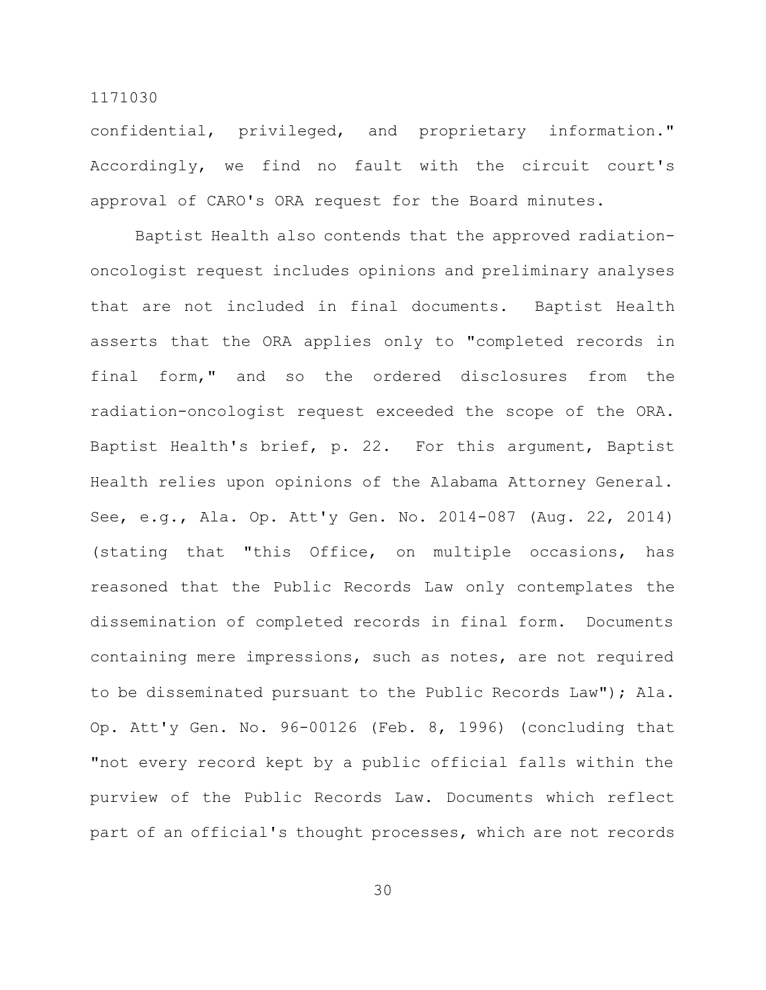confidential, privileged, and proprietary information." Accordingly, we find no fault with the circuit court's approval of CARO's ORA request for the Board minutes.

Baptist Health also contends that the approved radiationoncologist request includes opinions and preliminary analyses that are not included in final documents. Baptist Health asserts that the ORA applies only to "completed records in final form," and so the ordered disclosures from the radiation-oncologist request exceeded the scope of the ORA. Baptist Health's brief, p. 22. For this argument, Baptist Health relies upon opinions of the Alabama Attorney General. See, e.g., Ala. Op. Att'y Gen. No. 2014-087 (Aug. 22, 2014) (stating that "this Office, on multiple occasions, has reasoned that the Public Records Law only contemplates the dissemination of completed records in final form. Documents containing mere impressions, such as notes, are not required to be disseminated pursuant to the Public Records Law"); Ala. Op. Att'y Gen. No. 96-00126 (Feb. 8, 1996) (concluding that "not every record kept by a public official falls within the purview of the Public Records Law. Documents which reflect part of an official's thought processes, which are not records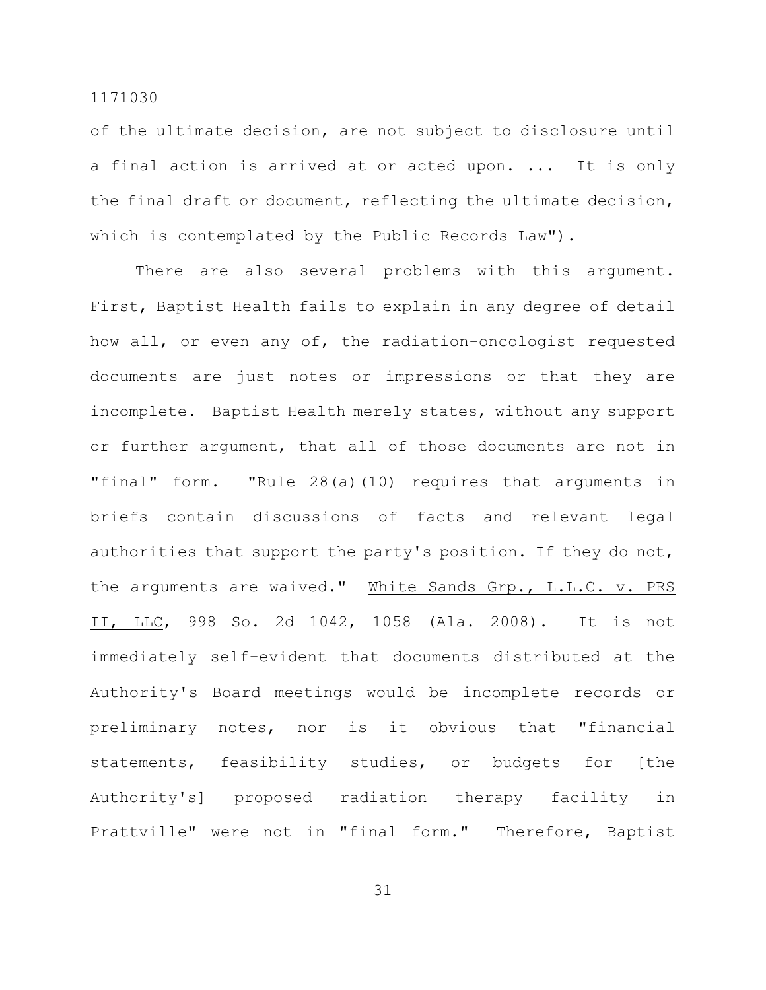of the ultimate decision, are not subject to disclosure until a final action is arrived at or acted upon. ... It is only the final draft or document, reflecting the ultimate decision, which is contemplated by the Public Records Law").

There are also several problems with this argument. First, Baptist Health fails to explain in any degree of detail how all, or even any of, the radiation-oncologist requested documents are just notes or impressions or that they are incomplete. Baptist Health merely states, without any support or further argument, that all of those documents are not in "final" form. "Rule 28(a)(10) requires that arguments in briefs contain discussions of facts and relevant legal authorities that support the party's position. If they do not, the arguments are waived." White Sands Grp., L.L.C. v. PRS II, LLC, 998 So. 2d 1042, 1058 (Ala. 2008). It is not immediately self-evident that documents distributed at the Authority's Board meetings would be incomplete records or preliminary notes, nor is it obvious that "financial statements, feasibility studies, or budgets for [the Authority's] proposed radiation therapy facility in Prattville" were not in "final form." Therefore, Baptist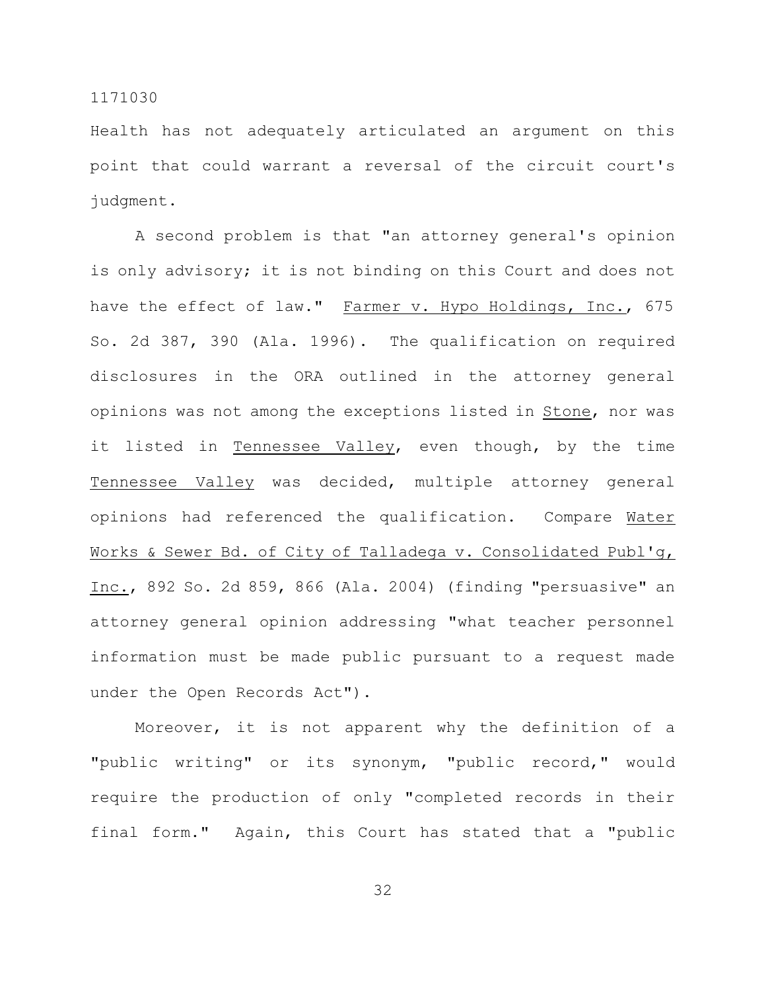Health has not adequately articulated an argument on this point that could warrant a reversal of the circuit court's judgment.

A second problem is that "an attorney general's opinion is only advisory; it is not binding on this Court and does not have the effect of law." Farmer v. Hypo Holdings, Inc., 675 So. 2d 387, 390 (Ala. 1996). The qualification on required disclosures in the ORA outlined in the attorney general opinions was not among the exceptions listed in Stone, nor was it listed in Tennessee Valley, even though, by the time Tennessee Valley was decided, multiple attorney general opinions had referenced the qualification. Compare Water Works & Sewer Bd. of City of Talladega v. Consolidated Publ'g, Inc., 892 So. 2d 859, 866 (Ala. 2004) (finding "persuasive" an attorney general opinion addressing "what teacher personnel information must be made public pursuant to a request made under the Open Records Act").

Moreover, it is not apparent why the definition of a "public writing" or its synonym, "public record," would require the production of only "completed records in their final form." Again, this Court has stated that a "public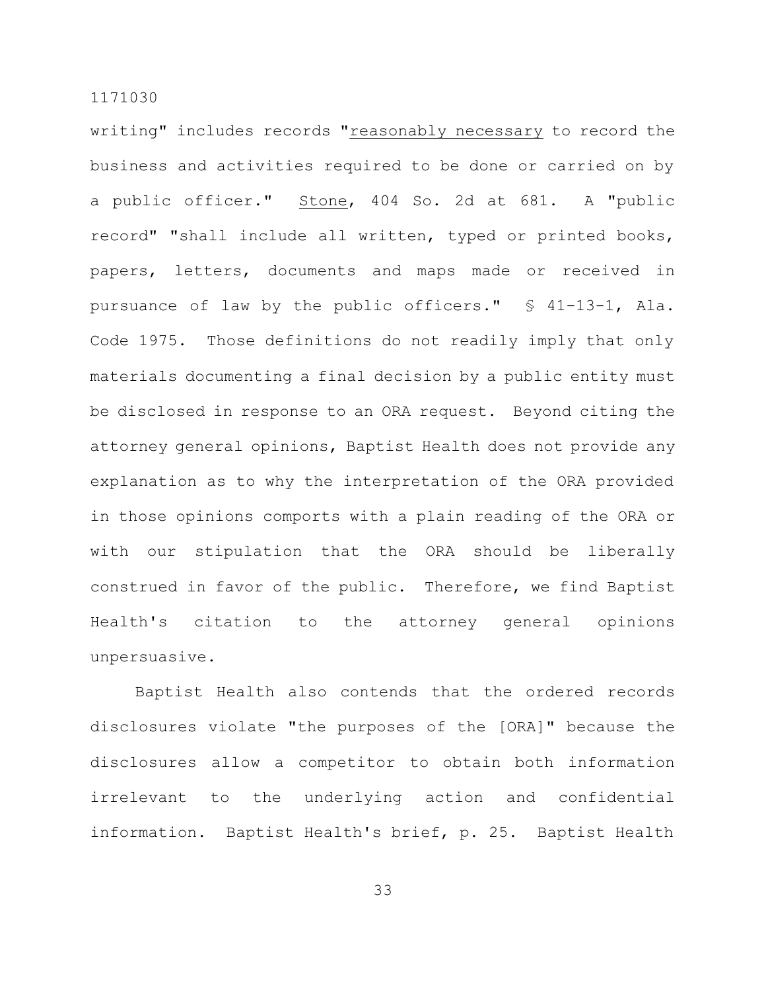writing" includes records "reasonably necessary to record the business and activities required to be done or carried on by a public officer." Stone, 404 So. 2d at 681. A "public record" "shall include all written, typed or printed books, papers, letters, documents and maps made or received in pursuance of law by the public officers." § 41-13-1, Ala. Code 1975. Those definitions do not readily imply that only materials documenting a final decision by a public entity must be disclosed in response to an ORA request. Beyond citing the attorney general opinions, Baptist Health does not provide any explanation as to why the interpretation of the ORA provided in those opinions comports with a plain reading of the ORA or with our stipulation that the ORA should be liberally construed in favor of the public. Therefore, we find Baptist Health's citation to the attorney general opinions unpersuasive.

Baptist Health also contends that the ordered records disclosures violate "the purposes of the [ORA]" because the disclosures allow a competitor to obtain both information irrelevant to the underlying action and confidential information. Baptist Health's brief, p. 25. Baptist Health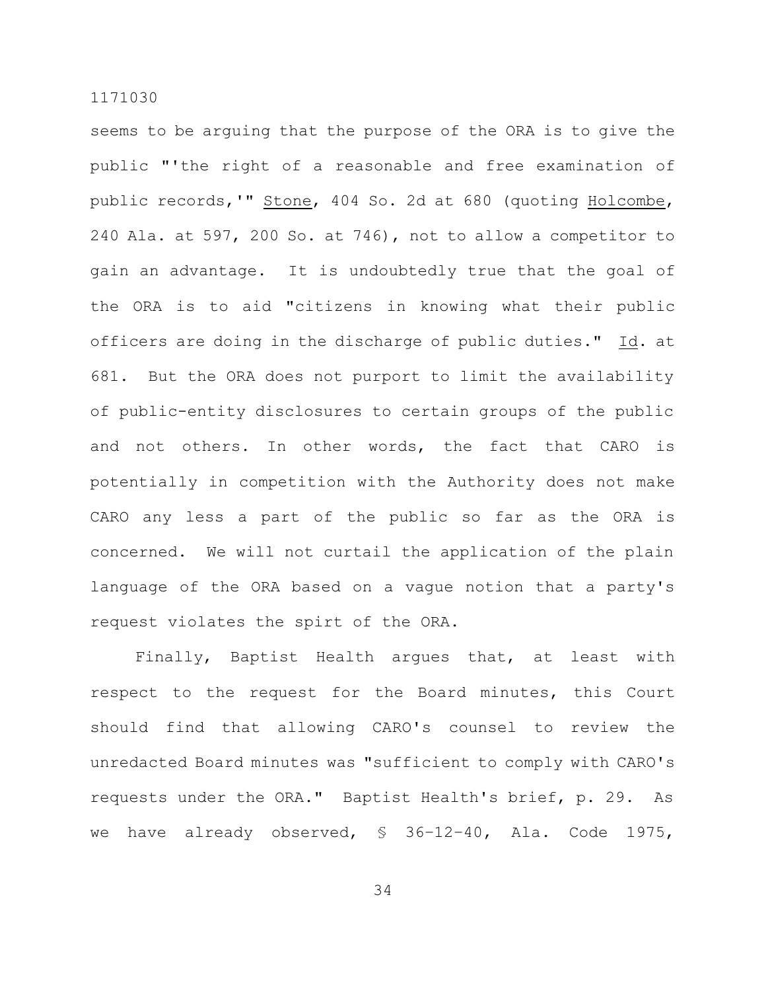seems to be arguing that the purpose of the ORA is to give the public "'the right of a reasonable and free examination of public records, '" Stone, 404 So. 2d at 680 (quoting Holcombe, 240 Ala. at 597, 200 So. at 746), not to allow a competitor to gain an advantage. It is undoubtedly true that the goal of the ORA is to aid "citizens in knowing what their public officers are doing in the discharge of public duties." Id. at 681. But the ORA does not purport to limit the availability of public-entity disclosures to certain groups of the public and not others. In other words, the fact that CARO is potentially in competition with the Authority does not make CARO any less a part of the public so far as the ORA is concerned. We will not curtail the application of the plain language of the ORA based on a vague notion that a party's request violates the spirt of the ORA.

Finally, Baptist Health argues that, at least with respect to the request for the Board minutes, this Court should find that allowing CARO's counsel to review the unredacted Board minutes was "sufficient to comply with CARO's requests under the ORA." Baptist Health's brief, p. 29. As we have already observed, § 36-12-40, Ala. Code 1975,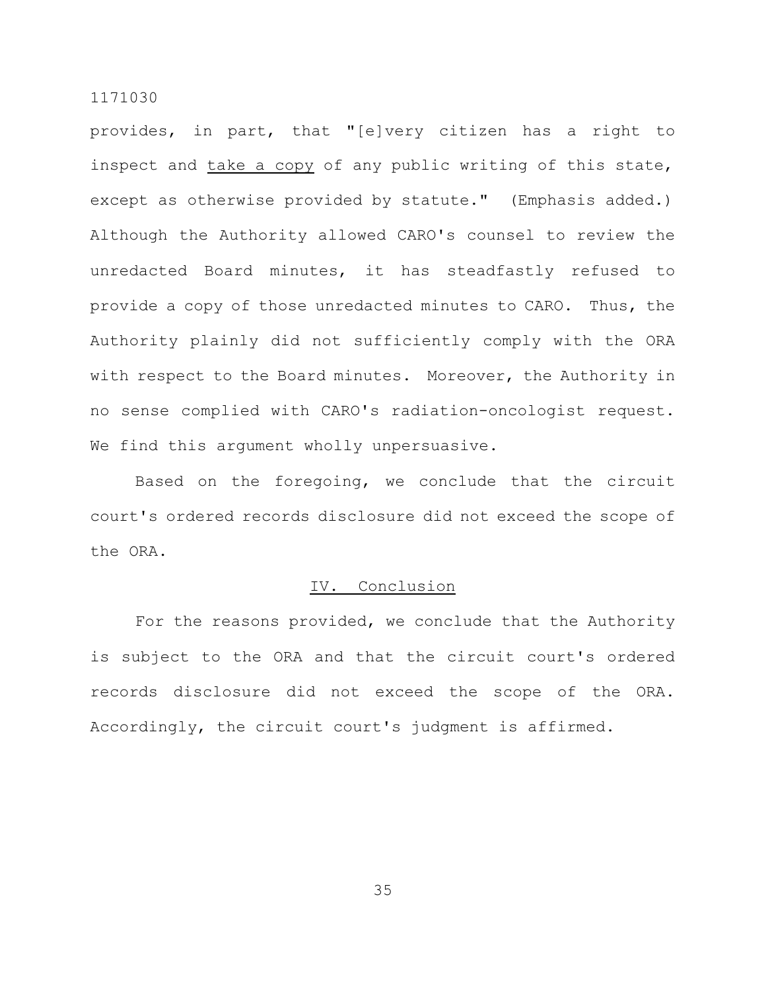provides, in part, that "[e]very citizen has a right to inspect and take a copy of any public writing of this state, except as otherwise provided by statute." (Emphasis added.) Although the Authority allowed CARO's counsel to review the unredacted Board minutes, it has steadfastly refused to provide a copy of those unredacted minutes to CARO. Thus, the Authority plainly did not sufficiently comply with the ORA with respect to the Board minutes. Moreover, the Authority in no sense complied with CARO's radiation-oncologist request. We find this argument wholly unpersuasive.

Based on the foregoing, we conclude that the circuit court's ordered records disclosure did not exceed the scope of the ORA.

# IV. Conclusion

For the reasons provided, we conclude that the Authority is subject to the ORA and that the circuit court's ordered records disclosure did not exceed the scope of the ORA. Accordingly, the circuit court's judgment is affirmed.